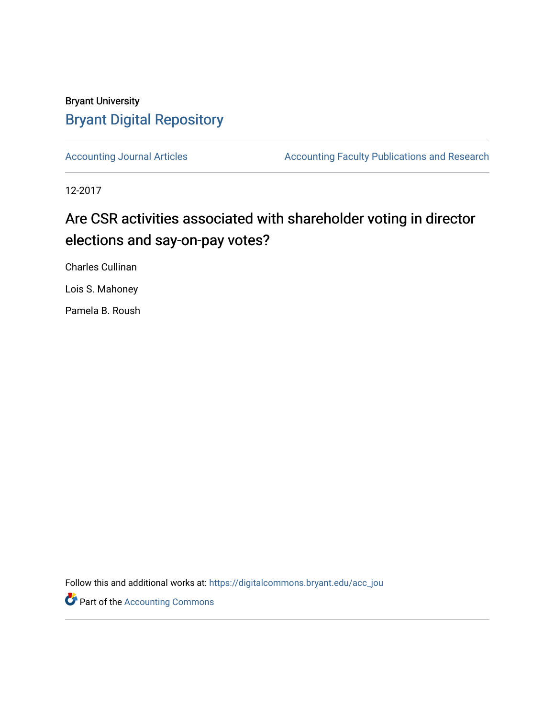# Bryant University [Bryant Digital Repository](https://digitalcommons.bryant.edu/)

[Accounting Journal Articles](https://digitalcommons.bryant.edu/acc_jou) **Accounting Faculty Publications and Research** 

12-2017

# Are CSR activities associated with shareholder voting in director elections and say-on-pay votes?

Charles Cullinan

Lois S. Mahoney

Pamela B. Roush

Follow this and additional works at: [https://digitalcommons.bryant.edu/acc\\_jou](https://digitalcommons.bryant.edu/acc_jou?utm_source=digitalcommons.bryant.edu%2Facc_jou%2F156&utm_medium=PDF&utm_campaign=PDFCoverPages)

**Part of the [Accounting Commons](http://network.bepress.com/hgg/discipline/625?utm_source=digitalcommons.bryant.edu%2Facc_jou%2F156&utm_medium=PDF&utm_campaign=PDFCoverPages)**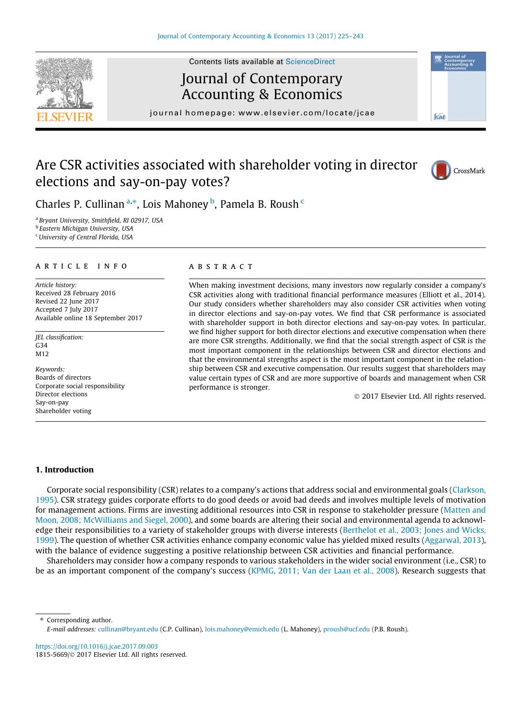

# Journal of Contemporary Accounting & Economics



journal homepage: [www.elsevier.com/locate/jcae](http://www.elsevier.com/locate/jcae)

# Are CSR activities associated with shareholder voting in director elections and say-on-pay votes?



Charles P. Cullinan<sup>a,\*</sup>, Lois Mahoney <sup>b</sup>, Pamela B. Roush <sup>c</sup>

<sup>a</sup> Bryant University, Smithfield, RI 02917, USA <sup>b</sup> Eastern Michigan University, USA

<sup>c</sup>University of Central Florida, USA

# article info

Article history: Received 28 February 2016 Revised 22 June 2017 Accepted 7 July 2017 Available online 18 September 2017

JEL classification:  $G34$ M12

Keywords: Boards of directors Corporate social responsibility Director elections Say-on-pay Shareholder voting

# **ABSTRACT**

When making investment decisions, many investors now regularly consider a company's CSR activities along with traditional financial performance measures (Elliott et al., 2014). Our study considers whether shareholders may also consider CSR activities when voting in director elections and say-on-pay votes. We find that CSR performance is associated with shareholder support in both director elections and say-on-pay votes. In particular, we find higher support for both director elections and executive compensation when there are more CSR strengths. Additionally, we find that the social strength aspect of CSR is the most important component in the relationships between CSR and director elections and that the environmental strengths aspect is the most important component in the relationship between CSR and executive compensation. Our results suggest that shareholders may value certain types of CSR and are more supportive of boards and management when CSR performance is stronger.

2017 Elsevier Ltd. All rights reserved.

#### 1. Introduction

Corporate social responsibility (CSR) relates to a company's actions that address social and environmental goals ([Clarkson,](#page-18-0) [1995\)](#page-18-0). CSR strategy guides corporate efforts to do good deeds or avoid bad deeds and involves multiple levels of motivation for management actions. Firms are investing additional resources into CSR in response to stakeholder pressure ([Matten and](#page-19-0) [Moon, 2008; McWilliams and Siegel, 2000\)](#page-19-0), and some boards are altering their social and environmental agenda to acknowledge their responsibilities to a variety of stakeholder groups with diverse interests [\(Berthelot et al., 2003; Jones and Wicks,](#page-18-0) [1999\)](#page-18-0). The question of whether CSR activities enhance company economic value has yielded mixed results ([Aggarwal, 2013](#page-18-0)), with the balance of evidence suggesting a positive relationship between CSR activities and financial performance.

Shareholders may consider how a company responds to various stakeholders in the wider social environment (i.e., CSR) to be as an important component of the company's success [\(KPMG, 2011; Van der Laan et al., 2008\)](#page-19-0). Research suggests that

⇑ Corresponding author. E-mail addresses: [cullinan@bryant.edu](mailto:cullinan@bryant.edu) (C.P. Cullinan), [lois.mahoney@emich.edu](mailto:lois.mahoney@emich.edu) (L. Mahoney), [proush@ucf.edu](mailto:proush@ucf.edu) (P.B. Roush).

<https://doi.org/10.1016/j.jcae.2017.09.003> 1815-5669/ 2017 Elsevier Ltd. All rights reserved.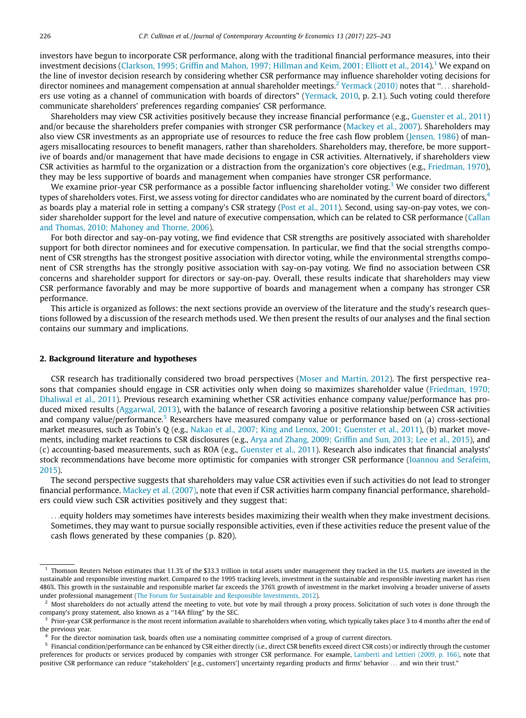investors have begun to incorporate CSR performance, along with the traditional financial performance measures, into their investment decisions ([Clarkson, 1995; Griffin and Mahon, 1997; Hillman and Keim, 2001; Elliott et al., 2014](#page-18-0)).<sup>1</sup> We expand on the line of investor decision research by considering whether CSR performance may influence shareholder voting decisions for director nominees and management compensation at annual shareholder meetings.<sup>2</sup> [Yermack \(2010\)](#page-19-0) notes that "... shareholders use voting as a channel of communication with boards of directors" ([Yermack, 2010,](#page-19-0) p. 2.1). Such voting could therefore communicate shareholders' preferences regarding companies' CSR performance.

Shareholders may view CSR activities positively because they increase financial performance (e.g., [Guenster et al., 2011](#page-18-0)) and/or because the shareholders prefer companies with stronger CSR performance ([Mackey et al., 2007](#page-19-0)). Shareholders may also view CSR investments as an appropriate use of resources to reduce the free cash flow problem ([Jensen, 1986\)](#page-18-0) of managers misallocating resources to benefit managers, rather than shareholders. Shareholders may, therefore, be more supportive of boards and/or management that have made decisions to engage in CSR activities. Alternatively, if shareholders view CSR activities as harmful to the organization or a distraction from the organization's core objectives (e.g., [Friedman, 1970\)](#page-18-0), they may be less supportive of boards and management when companies have stronger CSR performance.

We examine prior-year CSR performance as a possible factor influencing shareholder voting.<sup>3</sup> We consider two different types of shareholders votes. First, we assess voting for director candidates who are nominated by the current board of directors,<sup>4</sup> as boards play a material role in setting a company's CSR strategy [\(Post et al., 2011](#page-19-0)). Second, using say-on-pay votes, we consider shareholder support for the level and nature of executive compensation, which can be related to CSR performance ([Callan](#page-18-0) [and Thomas, 2010; Mahoney and Thorne, 2006\)](#page-18-0).

For both director and say-on-pay voting, we find evidence that CSR strengths are positively associated with shareholder support for both director nominees and for executive compensation. In particular, we find that the social strengths component of CSR strengths has the strongest positive association with director voting, while the environmental strengths component of CSR strengths has the strongly positive association with say-on-pay voting. We find no association between CSR concerns and shareholder support for directors or say-on-pay. Overall, these results indicate that shareholders may view CSR performance favorably and may be more supportive of boards and management when a company has stronger CSR performance.

This article is organized as follows: the next sections provide an overview of the literature and the study's research questions followed by a discussion of the research methods used. We then present the results of our analyses and the final section contains our summary and implications.

# 2. Background literature and hypotheses

CSR research has traditionally considered two broad perspectives [\(Moser and Martin, 2012](#page-19-0)). The first perspective reasons that companies should engage in CSR activities only when doing so maximizes shareholder value ([Friedman, 1970;](#page-18-0) [Dhaliwal et al., 2011](#page-18-0)). Previous research examining whether CSR activities enhance company value/performance has produced mixed results ([Aggarwal, 2013\)](#page-18-0), with the balance of research favoring a positive relationship between CSR activities and company value/performance.<sup>5</sup> Researchers have measured company value or performance based on (a) cross-sectional market measures, such as Tobin's Q (e.g., [Nakao et al., 2007; King and Lenox, 2001; Guenster et al., 2011\)](#page-19-0), (b) market movements, including market reactions to CSR disclosures (e.g., [Arya and Zhang, 2009; Griffin and Sun, 2013; Lee et al., 2015](#page-18-0)), and (c) accounting-based measurements, such as ROA (e.g., [Guenster et al., 2011](#page-18-0)). Research also indicates that financial analysts' stock recommendations have become more optimistic for companies with stronger CSR performance [\(Ioannou and Serafeim,](#page-18-0) [2015\)](#page-18-0).

The second perspective suggests that shareholders may value CSR activities even if such activities do not lead to stronger financial performance. [Mackey et al. \(2007\)](#page-19-0), note that even if CSR activities harm company financial performance, shareholders could view such CSR activities positively and they suggest that:

...equity holders may sometimes have interests besides maximizing their wealth when they make investment decisions. Sometimes, they may want to pursue socially responsible activities, even if these activities reduce the present value of the cash flows generated by these companies (p. 820).

<sup>1</sup> Thomson Reuters Nelson estimates that 11.3% of the \$33.3 trillion in total assets under management they tracked in the U.S. markets are invested in the sustainable and responsible investing market. Compared to the 1995 tracking levels, investment in the sustainable and responsible investing market has risen 486%. This growth in the sustainable and responsible market far exceeds the 376% growth of investment in the market involving a broader universe of assets under professional management ([The Forum for Sustainable and Responsible Investments, 2012](#page-19-0)).

 $<sup>2</sup>$  Most shareholders do not actually attend the meeting to vote, but vote by mail through a proxy process. Solicitation of such votes is done through the</sup> company's proxy statement, also known as a ''14A filing" by the SEC.

 $3$  Prior-year CSR performance is the most recent information available to shareholders when voting, which typically takes place 3 to 4 months after the end of the previous year.

<sup>4</sup> For the director nomination task, boards often use a nominating committee comprised of a group of current directors.

 $5$  Financial condition/performance can be enhanced by CSR either directly (i.e., direct CSR benefits exceed direct CSR costs) or indirectly through the customer preferences for products or services produced by companies with stronger CSR performance. For example, [Lamberti and Lettieri \(2009, p. 166\),](#page-19-0) note that positive CSR performance can reduce ''stakeholders' [e.g., customers'] uncertainty regarding products and firms' behavior ... and win their trust."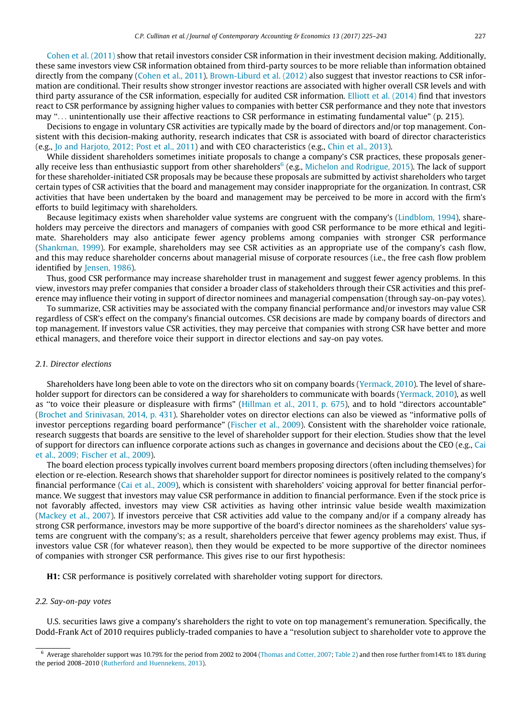[Cohen et al. \(2011\)](#page-18-0) show that retail investors consider CSR information in their investment decision making. Additionally, these same investors view CSR information obtained from third-party sources to be more reliable than information obtained directly from the company ([Cohen et al., 2011](#page-18-0)). [Brown-Liburd et al. \(2012\)](#page-18-0) also suggest that investor reactions to CSR information are conditional. Their results show stronger investor reactions are associated with higher overall CSR levels and with third party assurance of the CSR information, especially for audited CSR information. [Elliott et al. \(2014\)](#page-18-0) find that investors react to CSR performance by assigning higher values to companies with better CSR performance and they note that investors may ''... unintentionally use their affective reactions to CSR performance in estimating fundamental value" (p. 215).

Decisions to engage in voluntary CSR activities are typically made by the board of directors and/or top management. Consistent with this decision-making authority, research indicates that CSR is associated with board of director characteristics (e.g., [Jo and Harjoto, 2012; Post et al., 2011\)](#page-18-0) and with CEO characteristics (e.g., [Chin et al., 2013\)](#page-18-0).

While dissident shareholders sometimes initiate proposals to change a company's CSR practices, these proposals gener-ally receive less than enthusiastic support from other shareholders<sup>6</sup> (e.g., [Michelon and Rodrigue, 2015\)](#page-19-0). The lack of support for these shareholder-initiated CSR proposals may be because these proposals are submitted by activist shareholders who target certain types of CSR activities that the board and management may consider inappropriate for the organization. In contrast, CSR activities that have been undertaken by the board and management may be perceived to be more in accord with the firm's efforts to build legitimacy with shareholders.

Because legitimacy exists when shareholder value systems are congruent with the company's [\(Lindblom, 1994\)](#page-19-0), shareholders may perceive the directors and managers of companies with good CSR performance to be more ethical and legitimate. Shareholders may also anticipate fewer agency problems among companies with stronger CSR performance ([Shankman, 1999\)](#page-19-0). For example, shareholders may see CSR activities as an appropriate use of the company's cash flow, and this may reduce shareholder concerns about managerial misuse of corporate resources (i.e., the free cash flow problem identified by [Jensen, 1986\)](#page-18-0).

Thus, good CSR performance may increase shareholder trust in management and suggest fewer agency problems. In this view, investors may prefer companies that consider a broader class of stakeholders through their CSR activities and this preference may influence their voting in support of director nominees and managerial compensation (through say-on-pay votes).

To summarize, CSR activities may be associated with the company financial performance and/or investors may value CSR regardless of CSR's effect on the company's financial outcomes. CSR decisions are made by company boards of directors and top management. If investors value CSR activities, they may perceive that companies with strong CSR have better and more ethical managers, and therefore voice their support in director elections and say-on pay votes.

#### 2.1. Director elections

Shareholders have long been able to vote on the directors who sit on company boards [\(Yermack, 2010\)](#page-19-0). The level of shareholder support for directors can be considered a way for shareholders to communicate with boards [\(Yermack, 2010\)](#page-19-0), as well as ''to voice their pleasure or displeasure with firms" [\(Hillman et al., 2011, p. 675\)](#page-18-0), and to hold ''directors accountable" ([Brochet and Srinivasan, 2014, p. 431](#page-18-0)). Shareholder votes on director elections can also be viewed as ''informative polls of investor perceptions regarding board performance" ([Fischer et al., 2009](#page-18-0)). Consistent with the shareholder voice rationale, research suggests that boards are sensitive to the level of shareholder support for their election. Studies show that the level of support for directors can influence corporate actions such as changes in governance and decisions about the CEO (e.g., [Cai](#page-18-0) [et al., 2009; Fischer et al., 2009\)](#page-18-0).

The board election process typically involves current board members proposing directors (often including themselves) for election or re-election. Research shows that shareholder support for director nominees is positively related to the company's financial performance [\(Cai et al., 2009\)](#page-18-0), which is consistent with shareholders' voicing approval for better financial performance. We suggest that investors may value CSR performance in addition to financial performance. Even if the stock price is not favorably affected, investors may view CSR activities as having other intrinsic value beside wealth maximization ([Mackey et al., 2007\)](#page-19-0). If investors perceive that CSR activities add value to the company and/or if a company already has strong CSR performance, investors may be more supportive of the board's director nominees as the shareholders' value systems are congruent with the company's; as a result, shareholders perceive that fewer agency problems may exist. Thus, if investors value CSR (for whatever reason), then they would be expected to be more supportive of the director nominees of companies with stronger CSR performance. This gives rise to our first hypothesis:

H1: CSR performance is positively correlated with shareholder voting support for directors.

#### 2.2. Say-on-pay votes

U.S. securities laws give a company's shareholders the right to vote on top management's remuneration. Specifically, the Dodd-Frank Act of 2010 requires publicly-traded companies to have a ''resolution subject to shareholder vote to approve the

<sup>6</sup> Average shareholder support was 10.79% for the period from 2002 to 2004 [\(Thomas and Cotter, 2007](#page-19-0); [Table 2](#page-8-0)) and then rose further from14% to 18% during the period 2008–2010 [\(Rutherford and Huennekens, 2013\)](#page-19-0).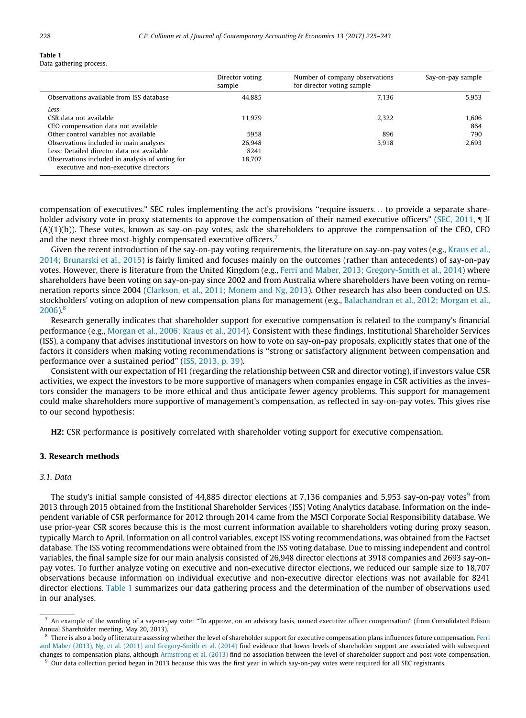| Table 1 |                        |  |
|---------|------------------------|--|
|         | Data gathering process |  |

|                                                                                                                                                                                                                                                                                                    | Director voting<br>sample                  | Number of company observations<br>for director voting sample | Say-on-pay sample            |
|----------------------------------------------------------------------------------------------------------------------------------------------------------------------------------------------------------------------------------------------------------------------------------------------------|--------------------------------------------|--------------------------------------------------------------|------------------------------|
| Observations available from ISS database                                                                                                                                                                                                                                                           | 44.885                                     | 7.136                                                        | 5.953                        |
| Less<br>CSR data not available<br>CEO compensation data not available<br>Other control variables not available<br>Observations included in main analyses<br>Less: Detailed director data not available<br>Observations included in analysis of voting for<br>executive and non-executive directors | 11.979<br>5958<br>26.948<br>8241<br>18.707 | 2.322<br>896<br>3.918                                        | 1.606<br>864<br>790<br>2.693 |

compensation of executives." SEC rules implementing the act's provisions ''require issuers... to provide a separate share-holder advisory vote in proxy statements to approve the compensation of their named executive officers" ([SEC, 2011](#page-19-0),  $\P$  II  $(A)(1)(b)$ ). These votes, known as say-on-pay votes, ask the shareholders to approve the compensation of the CEO, CFO and the next three most-highly compensated executive officers.<sup>7</sup>

Given the recent introduction of the say-on-pay voting requirements, the literature on say-on-pay votes (e.g., [Kraus et al.,](#page-19-0) [2014; Brunarski et al., 2015\)](#page-19-0) is fairly limited and focuses mainly on the outcomes (rather than antecedents) of say-on-pay votes. However, there is literature from the United Kingdom (e.g., [Ferri and Maber, 2013; Gregory-Smith et al., 2014](#page-18-0)) where shareholders have been voting on say-on-pay since 2002 and from Australia where shareholders have been voting on remuneration reports since 2004 ([Clarkson, et al., 2011; Monem and Ng, 2013](#page-18-0)). Other research has also been conducted on U.S. stockholders' voting on adoption of new compensation plans for management (e.g., [Balachandran et al., 2012; Morgan et al.,](#page-18-0)  $2006$ ).<sup>8</sup>

Research generally indicates that shareholder support for executive compensation is related to the company's financial performance (e.g., [Morgan et al., 2006; Kraus et al., 2014](#page-19-0)). Consistent with these findings, Institutional Shareholder Services (ISS), a company that advises institutional investors on how to vote on say-on-pay proposals, explicitly states that one of the factors it considers when making voting recommendations is ''strong or satisfactory alignment between compensation and performance over a sustained period" [\(ISS, 2013, p. 39](#page-18-0)).

Consistent with our expectation of H1 (regarding the relationship between CSR and director voting), if investors value CSR activities, we expect the investors to be more supportive of managers when companies engage in CSR activities as the investors consider the managers to be more ethical and thus anticipate fewer agency problems. This support for management could make shareholders more supportive of management's compensation, as reflected in say-on-pay votes. This gives rise to our second hypothesis:

H2: CSR performance is positively correlated with shareholder voting support for executive compensation.

# 3. Research methods

# 3.1. Data

The study's initial sample consisted of 44,885 director elections at 7,136 companies and 5,953 say-on-pay votes<sup>9</sup> from 2013 through 2015 obtained from the Institional Shareholder Services (ISS) Voting Analytics database. Information on the independent variable of CSR performance for 2012 through 2014 came from the MSCI Corporate Social Responsibility database. We use prior-year CSR scores because this is the most current information available to shareholders voting during proxy season, typically March to April. Information on all control variables, except ISS voting recommendations, was obtained from the Factset database. The ISS voting recommendations were obtained from the ISS voting database. Due to missing independent and control variables, the final sample size for our main analysis consisted of 26,948 director elections at 3918 companies and 2693 say-onpay votes. To further analyze voting on executive and non-executive director elections, we reduced our sample size to 18,707 observations because information on individual executive and non-executive director elections was not available for 8241 director elections. Table 1 summarizes our data gathering process and the determination of the number of observations used in our analyses.

 $<sup>7</sup>$  An example of the wording of a say-on-pay vote: "To approve, on an advisory basis, named executive officer compensation" (from Consolidated Edison</sup> Annual Shareholder meeting, May 20, 2013).

There is also a body of literature assessing whether the level of shareholder support for executive compensation plans influences future compensation. [Ferri](#page-18-0) [and Maber \(2013\), Ng, et al. \(2011\) and Gregory-Smith et al. \(2014\)](#page-18-0) find evidence that lower levels of shareholder support are associated with subsequent changes to compensation plans, although [Armstrong et al. \(2013\)](#page-18-0) find no association between the level of shareholder support and post-vote compensation.  $9$  Our data collection period began in 2013 because this was the first year in which say-on-pay votes were required for all SEC registrants.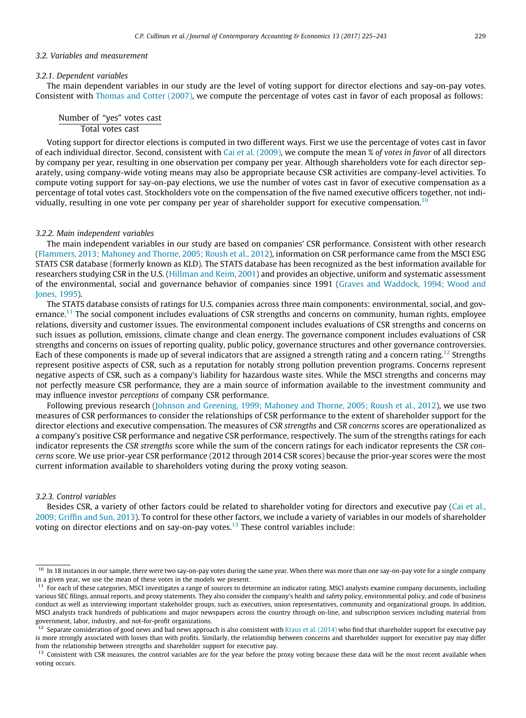# 3.2. Variables and measurement

#### 3.2.1. Dependent variables

The main dependent variables in our study are the level of voting support for director elections and say-on-pay votes. Consistent with [Thomas and Cotter \(2007\),](#page-19-0) we compute the percentage of votes cast in favor of each proposal as follows:

Number of "yes" votes cast Total votes cast

Voting support for director elections is computed in two different ways. First we use the percentage of votes cast in favor of each individual director. Second, consistent with [Cai et al. \(2009\),](#page-18-0) we compute the mean % of votes in favor of all directors by company per year, resulting in one observation per company per year. Although shareholders vote for each director separately, using company-wide voting means may also be appropriate because CSR activities are company-level activities. To compute voting support for say-on-pay elections, we use the number of votes cast in favor of executive compensation as a percentage of total votes cast. Stockholders vote on the compensation of the five named executive officers together, not individually, resulting in one vote per company per year of shareholder support for executive compensation.<sup>10</sup>

#### 3.2.2. Main independent variables

The main independent variables in our study are based on companies' CSR performance. Consistent with other research ([Flammers, 2013; Mahoney and Thorne, 2005; Roush et al., 2012\)](#page-18-0), information on CSR performance came from the MSCI ESG STATS CSR database (formerly known as KLD). The STATS database has been recognized as the best information available for researchers studying CSR in the U.S. [\(Hillman and Keim, 2001](#page-18-0)) and provides an objective, uniform and systematic assessment of the environmental, social and governance behavior of companies since 1991 ([Graves and Waddock, 1994; Wood and](#page-18-0) [Jones, 1995](#page-18-0)).

The STATS database consists of ratings for U.S. companies across three main components: environmental, social, and governance.<sup>11</sup> The social component includes evaluations of CSR strengths and concerns on community, human rights, employee relations, diversity and customer issues. The environmental component includes evaluations of CSR strengths and concerns on such issues as pollution, emissions, climate change and clean energy. The governance component includes evaluations of CSR strengths and concerns on issues of reporting quality, public policy, governance structures and other governance controversies. Each of these components is made up of several indicators that are assigned a strength rating and a concern rating.12 Strengths represent positive aspects of CSR, such as a reputation for notably strong pollution prevention programs. Concerns represent negative aspects of CSR, such as a company's liability for hazardous waste sites. While the MSCI strengths and concerns may not perfectly measure CSR performance, they are a main source of information available to the investment community and may influence investor perceptions of company CSR performance.

Following previous research ([Johnson and Greening, 1999; Mahoney and Thorne, 2005; Roush et al., 2012\)](#page-19-0), we use two measures of CSR performances to consider the relationships of CSR performance to the extent of shareholder support for the director elections and executive compensation. The measures of CSR strengths and CSR concerns scores are operationalized as a company's positive CSR performance and negative CSR performance, respectively. The sum of the strengths ratings for each indicator represents the CSR strengths score while the sum of the concern ratings for each indicator represents the CSR concerns score. We use prior-year CSR performance (2012 through 2014 CSR scores) because the prior-year scores were the most current information available to shareholders voting during the proxy voting season.

#### 3.2.3. Control variables

Besides CSR, a variety of other factors could be related to shareholder voting for directors and executive pay [\(Cai et al.,](#page-18-0) [2009; Griffin and Sun, 2013\)](#page-18-0). To control for these other factors, we include a variety of variables in our models of shareholder voting on director elections and on say-on-pay votes.<sup>13</sup> These control variables include:

<sup>&</sup>lt;sup>10</sup> In 18 instances in our sample, there were two say-on-pay votes during the same year. When there was more than one say-on-pay vote for a single company in a given year, we use the mean of these votes in the models we present.

<sup>&</sup>lt;sup>11</sup> For each of these categories, MSCI investigates a range of sources to determine an indicator rating. MSCI analysts examine company documents, including various SEC filings, annual reports, and proxy statements. They also consider the company's health and safety policy, environmental policy, and code of business conduct as well as interviewing important stakeholder groups, such as executives, union representatives, community and organizational groups. In addition, MSCI analysts track hundreds of publications and major newspapers across the country through on-line, and subscription services including material from government, labor, industry, and not-for-profit organizations.

 $12$  Separate consideration of good news and bad news approach is also consistent with [Kraus et al. \(2014\)](#page-19-0) who find that shareholder support for executive pay is more strongly associated with losses than with profits. Similarly, the relationship between concerns and shareholder support for executive pay may differ from the relationship between strengths and shareholder support for executive pay.

<sup>&</sup>lt;sup>13</sup> Consistent with CSR measures, the control variables are for the year before the proxy voting because these data will be the most recent available when voting occurs.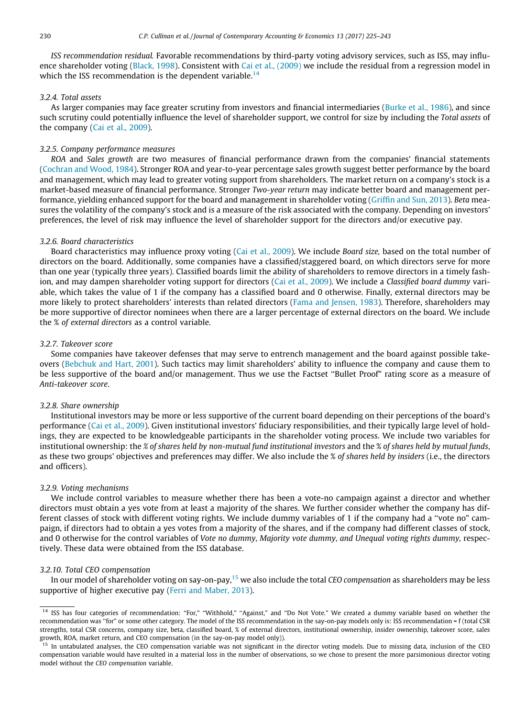ISS recommendation residual. Favorable recommendations by third-party voting advisory services, such as ISS, may influence shareholder voting ([Black, 1998\)](#page-18-0). Consistent with [Cai et al., \(2009\)](#page-18-0) we include the residual from a regression model in which the ISS recommendation is the dependent variable.<sup>14</sup>

#### 3.2.4. Total assets

As larger companies may face greater scrutiny from investors and financial intermediaries ([Burke et al., 1986\)](#page-18-0), and since such scrutiny could potentially influence the level of shareholder support, we control for size by including the Total assets of the company [\(Cai et al., 2009\)](#page-18-0).

# 3.2.5. Company performance measures

ROA and Sales growth are two measures of financial performance drawn from the companies' financial statements [\(Cochran and Wood, 1984](#page-18-0)). Stronger ROA and year-to-year percentage sales growth suggest better performance by the board and management, which may lead to greater voting support from shareholders. The market return on a company's stock is a market-based measure of financial performance. Stronger Two-year return may indicate better board and management performance, yielding enhanced support for the board and management in shareholder voting ([Griffin and Sun, 2013](#page-18-0)). Beta measures the volatility of the company's stock and is a measure of the risk associated with the company. Depending on investors' preferences, the level of risk may influence the level of shareholder support for the directors and/or executive pay.

# 3.2.6. Board characteristics

Board characteristics may influence proxy voting ([Cai et al., 2009](#page-18-0)). We include Board size, based on the total number of directors on the board. Additionally, some companies have a classified/staggered board, on which directors serve for more than one year (typically three years). Classified boards limit the ability of shareholders to remove directors in a timely fash-ion, and may dampen shareholder voting support for directors [\(Cai et al., 2009](#page-18-0)). We include a Classified board dummy variable, which takes the value of 1 if the company has a classified board and 0 otherwise. Finally, external directors may be more likely to protect shareholders' interests than related directors ([Fama and Jensen, 1983](#page-18-0)). Therefore, shareholders may be more supportive of director nominees when there are a larger percentage of external directors on the board. We include the % of external directors as a control variable.

# 3.2.7. Takeover score

Some companies have takeover defenses that may serve to entrench management and the board against possible takeovers [\(Bebchuk and Hart, 2001\)](#page-18-0). Such tactics may limit shareholders' ability to influence the company and cause them to be less supportive of the board and/or management. Thus we use the Factset ''Bullet Proof" rating score as a measure of Anti-takeover score.

# 3.2.8. Share ownership

Institutional investors may be more or less supportive of the current board depending on their perceptions of the board's performance [\(Cai et al., 2009\)](#page-18-0). Given institutional investors' fiduciary responsibilities, and their typically large level of holdings, they are expected to be knowledgeable participants in the shareholder voting process. We include two variables for institutional ownership: the  $\mathscr X$  of shares held by non-mutual fund institutional investors and the  $\mathscr X$  of shares held by mutual funds, as these two groups' objectives and preferences may differ. We also include the % of shares held by insiders (i.e., the directors and officers).

# 3.2.9. Voting mechanisms

We include control variables to measure whether there has been a vote-no campaign against a director and whether directors must obtain a yes vote from at least a majority of the shares. We further consider whether the company has different classes of stock with different voting rights. We include dummy variables of 1 if the company had a ''vote no" campaign, if directors had to obtain a yes votes from a majority of the shares, and if the company had different classes of stock, and 0 otherwise for the control variables of Vote no dummy, Majority vote dummy, and Unequal voting rights dummy, respectively. These data were obtained from the ISS database.

# 3.2.10. Total CEO compensation

In our model of shareholder voting on say-on-pay,<sup>15</sup> we also include the total CEO compensation as shareholders may be less supportive of higher executive pay ([Ferri and Maber, 2013](#page-18-0)).

<sup>&</sup>lt;sup>14</sup> ISS has four categories of recommendation: "For," "Withhold," "Against," and "Do Not Vote." We created a dummy variable based on whether the recommendation was ''for" or some other category. The model of the ISS recommendation in the say-on-pay models only is: ISS recommendation = f (total CSR strengths, total CSR concerns, company size, beta, classified board, % of external directors, institutional ownership, insider ownership, takeover score, sales growth, ROA, market return, and CEO compensation (in the say-on-pay model only)).

<sup>&</sup>lt;sup>15</sup> In untabulated analyses, the CEO compensation variable was not significant in the director voting models. Due to missing data, inclusion of the CEO compensation variable would have resulted in a material loss in the number of observations, so we chose to present the more parsimonious director voting model without the CEO compensation variable.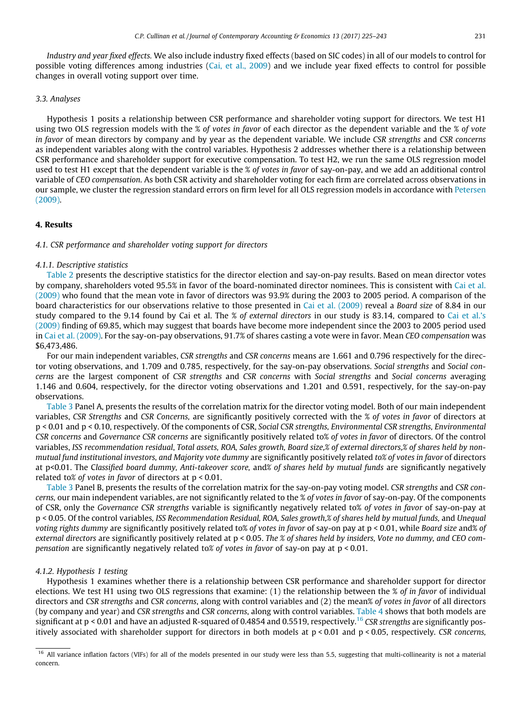Industry and year fixed effects. We also include industry fixed effects (based on SIC codes) in all of our models to control for possible voting differences among industries [\(Cai, et al., 2009](#page-18-0)) and we include year fixed effects to control for possible changes in overall voting support over time.

# 3.3. Analyses

Hypothesis 1 posits a relationship between CSR performance and shareholder voting support for directors. We test H1 using two OLS regression models with the % of votes in favor of each director as the dependent variable and the % of vote in favor of mean directors by company and by year as the dependent variable. We include CSR strengths and CSR concerns as independent variables along with the control variables. Hypothesis 2 addresses whether there is a relationship between CSR performance and shareholder support for executive compensation. To test H2, we run the same OLS regression model used to test H1 except that the dependent variable is the % of votes in favor of say-on-pay, and we add an additional control variable of CEO compensation. As both CSR activity and shareholder voting for each firm are correlated across observations in our sample, we cluster the regression standard errors on firm level for all OLS regression models in accordance with [Petersen](#page-19-0) [\(2009\).](#page-19-0)

# 4. Results

# 4.1. CSR performance and shareholder voting support for directors

#### 4.1.1. Descriptive statistics

[Table 2](#page-8-0) presents the descriptive statistics for the director election and say-on-pay results. Based on mean director votes by company, shareholders voted 95.5% in favor of the board-nominated director nominees. This is consistent with [Cai et al.](#page-18-0) [\(2009\)](#page-18-0) who found that the mean vote in favor of directors was 93.9% during the 2003 to 2005 period. A comparison of the board characteristics for our observations relative to those presented in [Cai et al. \(2009\)](#page-18-0) reveal a Board size of 8.84 in our study compared to the 9.14 found by Cai et al. The % of external directors in our study is 83.14, compared to [Cai et al.'s](#page-18-0) [\(2009\)](#page-18-0) finding of 69.85, which may suggest that boards have become more independent since the 2003 to 2005 period used in [Cai et al. \(2009\)](#page-18-0). For the say-on-pay observations, 91.7% of shares casting a vote were in favor. Mean CEO compensation was \$6,473,486.

For our main independent variables, CSR strengths and CSR concerns means are 1.661 and 0.796 respectively for the director voting observations, and 1.709 and 0.785, respectively, for the say-on-pay observations. Social strengths and Social concerns are the largest component of CSR strengths and CSR concerns with Social strengths and Social concerns averaging 1.146 and 0.604, respectively, for the director voting observations and 1.201 and 0.591, respectively, for the say-on-pay observations.

[Table 3](#page-9-0) Panel A, presents the results of the correlation matrix for the director voting model. Both of our main independent variables, CSR Strengths and CSR Concerns, are significantly positively corrected with the % of votes in favor of directors at p < 0.01 and p < 0.10, respectively. Of the components of CSR, Social CSR strengths, Environmental CSR strengths, Environmental CSR concerns and Governance CSR concerns are significantly positively related to% of votes in favor of directors. Of the control variables, ISS recommendation residual, Total assets, ROA, Sales growth, Board size,% of external directors,% of shares held by nonmutual fund institutional investors, and Majority vote dummy are significantly positively related to% of votes in favor of directors at p<0.01. The Classified board dummy, Anti-takeover score, and% of shares held by mutual funds are significantly negatively related to% of votes in favor of directors at p < 0.01.

[Table 3](#page-9-0) Panel B, presents the results of the correlation matrix for the say-on-pay voting model. CSR strengths and CSR concerns, our main independent variables, are not significantly related to the % of votes in favor of say-on-pay. Of the components of CSR, only the Governance CSR strengths variable is significantly negatively related to% of votes in favor of say-on-pay at p < 0.05. Of the control variables, ISS Recommendation Residual, ROA, Sales growth,% of shares held by mutual funds, and Unequal voting rights dummy are significantly positively related to% of votes in favor of say-on pay at p < 0.01, while Board size and% of external directors are significantly positively related at p < 0.05. The % of shares held by insiders, Vote no dummy, and CEO compensation are significantly negatively related to% of votes in favor of say-on pay at  $p < 0.01$ .

#### 4.1.2. Hypothesis 1 testing

Hypothesis 1 examines whether there is a relationship between CSR performance and shareholder support for director elections. We test H1 using two OLS regressions that examine: (1) the relationship between the % of in favor of individual directors and CSR strengths and CSR concerns, along with control variables and (2) the mean% of votes in favor of all directors (by company and year) and CSR strengths and CSR concerns, along with control variables. [Table 4](#page-12-0) shows that both models are significant at  $p < 0.01$  and have an adjusted R-squared of 0.4854 and 0.5519, respectively.<sup>16</sup> CSR strengths are significantly positively associated with shareholder support for directors in both models at  $p < 0.01$  and  $p < 0.05$ , respectively. CSR concerns,

<sup>&</sup>lt;sup>16</sup> All variance inflation factors (VIFs) for all of the models presented in our study were less than 5.5, suggesting that multi-collinearity is not a material concern.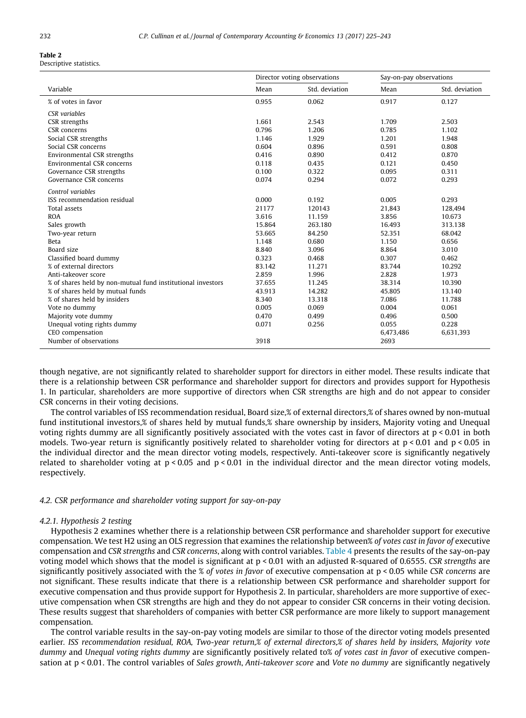<span id="page-8-0"></span>Descriptive statistics.

|                                                             |        | Director voting observations | Say-on-pay observations |                |
|-------------------------------------------------------------|--------|------------------------------|-------------------------|----------------|
| Variable                                                    | Mean   | Std. deviation               | Mean                    | Std. deviation |
| % of votes in favor                                         | 0.955  | 0.062                        | 0.917                   | 0.127          |
| CSR variables                                               |        |                              |                         |                |
| CSR strengths                                               | 1.661  | 2.543                        | 1.709                   | 2.503          |
| CSR concerns                                                | 0.796  | 1.206                        | 0.785                   | 1.102          |
| Social CSR strengths                                        | 1.146  | 1.929                        | 1.201                   | 1.948          |
| Social CSR concerns                                         | 0.604  | 0.896                        | 0.591                   | 0.808          |
| Environmental CSR strengths                                 | 0.416  | 0.890                        | 0.412                   | 0.870          |
| Environmental CSR concerns                                  | 0.118  | 0.435                        | 0.121                   | 0.450          |
| Governance CSR strengths                                    | 0.100  | 0.322                        | 0.095                   | 0.311          |
| Governance CSR concerns                                     | 0.074  | 0.294                        | 0.072                   | 0.293          |
| Control variables                                           |        |                              |                         |                |
| ISS recommendation residual                                 | 0.000  | 0.192                        | 0.005                   | 0.293          |
| Total assets                                                | 21177  | 120143                       | 21.843                  | 128,494        |
| <b>ROA</b>                                                  | 3.616  | 11.159                       | 3.856                   | 10.673         |
| Sales growth                                                | 15.864 | 263.180                      | 16.493                  | 313.138        |
| Two-year return                                             | 53.665 | 84.250                       | 52.351                  | 68.042         |
| Beta                                                        | 1.148  | 0.680                        | 1.150                   | 0.656          |
| Board size                                                  | 8.840  | 3.096                        | 8.864                   | 3.010          |
| Classified board dummy                                      | 0.323  | 0.468                        | 0.307                   | 0.462          |
| % of external directors                                     | 83.142 | 11.271                       | 83.744                  | 10.292         |
| Anti-takeover score                                         | 2.859  | 1.996                        | 2.828                   | 1.973          |
| % of shares held by non-mutual fund institutional investors | 37.655 | 11.245                       | 38.314                  | 10.390         |
| % of shares held by mutual funds                            | 43.913 | 14.282                       | 45.805                  | 13.140         |
| % of shares held by insiders                                | 8.340  | 13.318                       | 7.086                   | 11.788         |
| Vote no dummy                                               | 0.005  | 0.069                        | 0.004                   | 0.061          |
| Majority vote dummy                                         | 0.470  | 0.499                        | 0.496                   | 0.500          |
| Unequal voting rights dummy                                 | 0.071  | 0.256                        | 0.055                   | 0.228          |
| CEO compensation                                            |        |                              | 6,473,486               | 6,631,393      |
| Number of observations                                      | 3918   |                              | 2693                    |                |

though negative, are not significantly related to shareholder support for directors in either model. These results indicate that there is a relationship between CSR performance and shareholder support for directors and provides support for Hypothesis 1. In particular, shareholders are more supportive of directors when CSR strengths are high and do not appear to consider CSR concerns in their voting decisions.

The control variables of ISS recommendation residual, Board size,% of external directors,% of shares owned by non-mutual fund institutional investors,% of shares held by mutual funds,% share ownership by insiders, Majority voting and Unequal voting rights dummy are all significantly positively associated with the votes cast in favor of directors at  $p < 0.01$  in both models. Two-year return is significantly positively related to shareholder voting for directors at  $p < 0.01$  and  $p < 0.05$  in the individual director and the mean director voting models, respectively. Anti-takeover score is significantly negatively related to shareholder voting at  $p < 0.05$  and  $p < 0.01$  in the individual director and the mean director voting models, respectively.

# 4.2. CSR performance and shareholder voting support for say-on-pay

#### 4.2.1. Hypothesis 2 testing

Hypothesis 2 examines whether there is a relationship between CSR performance and shareholder support for executive compensation. We test H2 using an OLS regression that examines the relationship between% of votes cast in favor of executive compensation and CSR strengths and CSR concerns, along with control variables. [Table 4](#page-12-0) presents the results of the say-on-pay voting model which shows that the model is significant at p < 0.01 with an adjusted R-squared of 0.6555. CSR strengths are significantly positively associated with the % of votes in favor of executive compensation at  $p < 0.05$  while CSR concerns are not significant. These results indicate that there is a relationship between CSR performance and shareholder support for executive compensation and thus provide support for Hypothesis 2. In particular, shareholders are more supportive of executive compensation when CSR strengths are high and they do not appear to consider CSR concerns in their voting decision. These results suggest that shareholders of companies with better CSR performance are more likely to support management compensation.

The control variable results in the say-on-pay voting models are similar to those of the director voting models presented earlier. ISS recommendation residual, ROA, Two-year return,% of external directors,% of shares held by insiders, Majority vote dummy and Unequal voting rights dummy are significantly positively related to% of votes cast in favor of executive compensation at  $p \le 0.01$ . The control variables of Sales growth, Anti-takeover score and Vote no dummy are significantly negatively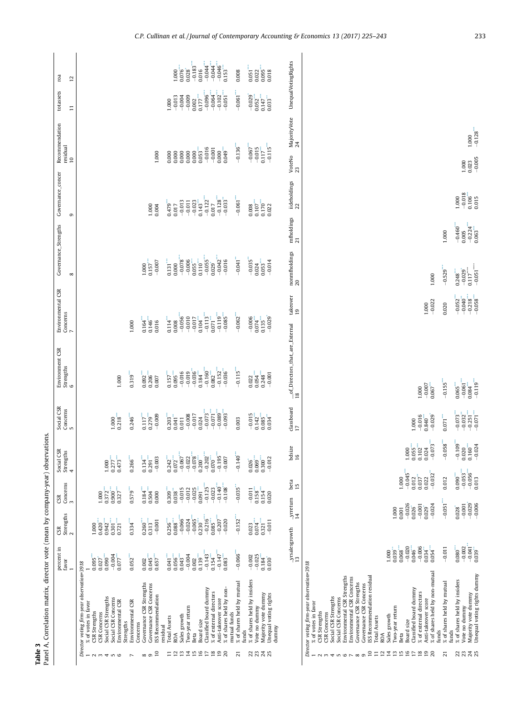<span id="page-9-0"></span>

| Table 3                                                                             | Panel A, Correlation matrix, director vote (mean by company-y                                                                                                                                                                                                                                                                                                                                                                                                                                                                                             |                                                                                                        |                                                                                                 |                                                                                                | ear) observations.                                                                |                                                                        |                                                                                    |                                                                       |                                                                   |                                                                    |                                                                  |                                                                              |                                                                      |                                                                  |
|-------------------------------------------------------------------------------------|-----------------------------------------------------------------------------------------------------------------------------------------------------------------------------------------------------------------------------------------------------------------------------------------------------------------------------------------------------------------------------------------------------------------------------------------------------------------------------------------------------------------------------------------------------------|--------------------------------------------------------------------------------------------------------|-------------------------------------------------------------------------------------------------|------------------------------------------------------------------------------------------------|-----------------------------------------------------------------------------------|------------------------------------------------------------------------|------------------------------------------------------------------------------------|-----------------------------------------------------------------------|-------------------------------------------------------------------|--------------------------------------------------------------------|------------------------------------------------------------------|------------------------------------------------------------------------------|----------------------------------------------------------------------|------------------------------------------------------------------|
|                                                                                     |                                                                                                                                                                                                                                                                                                                                                                                                                                                                                                                                                           | percent in<br>favor                                                                                    | Strengths<br>GR<br>$\sim$                                                                       | Concerns<br>CSR<br>$\infty$                                                                    | Social CSR<br>Strengths<br>$\overline{r}$                                         | Social CSR<br>Concerns<br>$\overline{5}$                               | Environment CSR<br>Strengths<br>$\circ$                                            | Environmental CSR<br>Concerns                                         | Governance_Strengths<br>$\infty$                                  |                                                                    | Governance_concer<br>$\sigma$                                    | Recommendation<br>residual<br>$\overline{1}$                                 | totassets<br>$\equiv$                                                | roa<br>$\overline{1}$                                            |
| 123456                                                                              | Director voting firm-year observation=3918<br>Social CSR Strengths<br>Social CSR Concerns<br>Environmental CSR<br>% of votes in favor<br>CSR Strengths<br>CSR Concerns                                                                                                                                                                                                                                                                                                                                                                                    | $0.090$<br>$-0.004$<br>0.095<br>0.077<br>0.027                                                         | 0.420<br>$0.301$ <sup>*</sup><br>0.942<br>1.000<br>0.721                                        | 0.900<br>1.000<br>0.372<br>0.327                                                               | 1.000<br>0.473<br>0.277                                                           | 1.000<br>0.218                                                         | 1.000                                                                              |                                                                       |                                                                   |                                                                    |                                                                  |                                                                              |                                                                      |                                                                  |
| $\sim$                                                                              | Environmental CSR<br>Strengths                                                                                                                                                                                                                                                                                                                                                                                                                                                                                                                            | 0.052                                                                                                  | $0.334$ <sup>***</sup>                                                                          | 0.579                                                                                          | 0.266                                                                             | 0.246                                                                  | $0.319$ <sup>**</sup>                                                              | 1.000                                                                 |                                                                   |                                                                    |                                                                  |                                                                              |                                                                      |                                                                  |
| $\overline{a}$<br>$\infty$<br>G                                                     | Governance CSR Strengths<br>Governance CSR Concerns<br>ISS Recommendation<br>Concerns                                                                                                                                                                                                                                                                                                                                                                                                                                                                     | $0.657$ <sup>***</sup><br>$0.002$<br>$0.045$                                                           | 0.260<br>$0.313$ <sup>**</sup><br>$-0.001$                                                      | 0.184<br>0.504<br>0.000                                                                        | $0.291$ <sup>***</sup><br>$0.134$ <sup>***</sup><br>0.003                         | $-0.009$<br>$0.117$<br>$0.279$                                         | $0.092$ <sup>***</sup><br>$0.206$<br>$0.007$                                       | $0.164$ <sup>***</sup><br>$0.146$ <sup>***</sup><br>0.016             | $-0.007$<br>$\frac{1.000}{0.157}$                                 |                                                                    | 1.000<br>0.004                                                   | 1.000                                                                        |                                                                      |                                                                  |
| $\overline{2}$<br>$\overline{1}$<br>4                                               | Iwo-year return<br>Sales growth<br>Total Assets<br>residual<br>ROA                                                                                                                                                                                                                                                                                                                                                                                                                                                                                        | $0.056$ <sup>***</sup><br>$0.043$<br>$0.041$ <sup>---</sup><br>$-0.004$                                | $-0.066$<br>$0.256$<br>$0.088$<br>$-0.024$                                                      | $-0.015$<br>$0.038$ <sup>**</sup><br>$-0.012$<br>0.309                                         | $0.242$<br>$-0.072$<br>$-0.067$                                                   | $\begin{array}{c} 0.203 \\ 0.041 \\ 0.011 \end{array}$<br>$-0.008$     | $0.157$ = 0.095<br>$-0.016$<br>$-0.019$                                            | $0.114$<br>$-0.008$<br>$-0.056$<br>$-0.010$                           | $-0.078$<br>$-0.006$<br>$0.131$ <sup>---</sup><br>0.000           |                                                                    | $0.479$<br>0.017<br>$-0.013$<br>$-0.011$                         | $0.000$<br>$0.000$<br>0.000                                                  | $-0.009$<br>$\begin{array}{c} 1.000 \\ -0.013 \\ -0.004 \end{array}$ | $1.000$<br>$0.076$<br>0.028                                      |
| $\overline{1}$<br>$\frac{6}{2}$<br>$\overline{a}$                                   | Classified board dummy<br>Board size<br>Beta                                                                                                                                                                                                                                                                                                                                                                                                                                                                                                              | $-0.143$<br>0.139<br>0.002                                                                             | $-0.216$<br>$-0.065$<br>0.230                                                                   | $-0.125$<br>$-0.025$<br>0.091                                                                  | $-0.022$<br>$-0.078$<br>0.200                                                     | $-0.017$<br>0.024                                                      | $\frac{-0.160}{0.082}$<br>$-0.036$<br>$0.184$ <sup>**</sup>                        | $\begin{array}{c}\n-0.113 \\ 0.071\n\end{array}$<br>$-0.017$<br>0.104 | $-0.055$ <sup>***</sup><br>$0.029$<br>$0.110^{***}$<br>0.055      |                                                                    | $-0.122$<br>$-0.023$<br>0.143<br>0.017                           | $-0.016$<br>$0.053$ <sup>*</sup><br>0.000                                    | $-0.096$<br>$-0.064$<br>$0.002$<br>$0.177$                           | $-0.044$<br>$-0.183$<br>0.016                                    |
| 200                                                                                 | % of shares held by non-<br>% of external directors<br>Anti-takeover score                                                                                                                                                                                                                                                                                                                                                                                                                                                                                | $-0.147$<br>0.083<br>0.154                                                                             | $-0.207$<br>$-0.020$<br>0.085                                                                   | $-0.140$<br>$-0.108$<br>$-0.023$                                                               | $\frac{-0.202}{0.070}$<br>$-0.007$                                                | $\begin{array}{c} -0.073 \\ -0.071 \\ -0.089 \\ -0.093 \end{array}$    | $-0.152$<br>$-0.036$                                                               | $-0.119$                                                              | $-0.042$<br>$-0.016$                                              |                                                                    | $-0.128$<br>-0.033                                               | $-0.001$<br>$0.000$<br>0.049                                                 | $-0.102$<br>$-0.051$                                                 | $-0.046$<br>0.153                                                |
| $\overline{z}$                                                                      | % of shares held by mutual<br>mutual funds<br>funds                                                                                                                                                                                                                                                                                                                                                                                                                                                                                                       | $-0.066$                                                                                               | $-0.152$                                                                                        | $-0.035$                                                                                       | $-0.140$                                                                          | 0.003                                                                  | $-0.115$                                                                           | $-0.062$                                                              | $-0.041$                                                          |                                                                    | $-0.061$                                                         | $-0.136$                                                                     | $-0.061$                                                             | 0.008                                                            |
| 23348                                                                               | % of shares held by insiders<br>Majority vote dummy<br>Unequal voting rights<br>Vote no dummy<br>dummy                                                                                                                                                                                                                                                                                                                                                                                                                                                    | $-0.002$<br>0.184<br>0.030                                                                             | $-0.011$<br>0.321<br>0.074<br>0.023                                                             | $0.158$<br>$0.154$<br>$-0.011$<br>0.020                                                        | 0.069<br>$0.300$ <sup>***</sup><br>$-0.012$<br>0.026                              | $\frac{-0.015}{0.142}$<br>$0.085$<br>0.034                             | $0.022$<br>$0.054$<br>0.248<br>$-0.001$                                            | $-0.029$<br>$0.135$<br>$-0.006$<br>0.074                              | $-0.035$<br>0.053<br>$-0.014$<br>0.024                            |                                                                    | $0.008$<br>$0.107$<br>0.170<br>0.022                             | $-0.067$<br>$-0.115$<br>$\frac{-0.015}{0.117}$                               | $-0.029$<br>$0.052$<br>$0.147$<br>0.033                              | $\begin{array}{c} 0.051 \\ 0.022 \\ 0.095 \\ 0.018 \end{array}.$ |
|                                                                                     |                                                                                                                                                                                                                                                                                                                                                                                                                                                                                                                                                           | $\_yrsalesgrowth$<br>$13$                                                                              | $\frac{1}{2}$ yr<br>return                                                                      | beta<br>15                                                                                     | bdsize<br>16                                                                      | $\frac{\rm{d}}{\rm{17}}$                                               | $\frac{\textrm{of\_Directions\_that\_are\_External}}{\textrm{18}}$                 | takeover<br>19                                                        | $\begin{array}{c} {\rm nonmfboldings} \\ {\rm 20} \end{array}$    | mfholdings<br>21                                                   | iideholdings<br>22                                               | MajorityVote<br>24<br>VoteNo<br>23                                           |                                                                      | UnequalVotingRights                                              |
| $\overline{1}$<br>232592<br>200<br>$\equiv$<br>$\overline{21}$<br><b>- 23456789</b> | Director voting firm-year observation=3918<br>% of shares held by non-mutual<br>ISS Recommendation residual<br>Environmental CSR Strengths<br>Environmental CSR Concerns<br>% of shares held by mutual<br>Governance CSR Strengths<br>Governance CSR Concerns<br>Classified board dummy<br>% of external directors<br>Social CSR Strengths<br>Social CSR Concerns<br>Anti-takeover score<br>% of votes in favor<br>Iwo-year return<br>CSR Strengths<br>CSR Concerns<br>Sales growth<br><b>Total Assets</b><br>Board size<br>funds<br>funds<br>Beta<br>ROA | 0.068<br>$-0.020$<br>$-0.006$<br>$-0.011$<br>$0.039$ <sup>**</sup><br>0.054<br>0.046<br>0.034<br>1.000 | $-0.051$ <sup>***</sup><br>$-0.026$<br>$-0.024$<br>$-0.001$<br>0.026<br>0.029<br>1.000<br>0.001 | $-0.045$<br>$\begin{array}{c} 0.012 \\ 0.037 \\ 0.022 \\ -0.032 \end{array}$<br>1.000<br>0.012 | $-0.058$<br>$-0.073$<br>$\frac{0.055}{0.102}$<br>1.000                            | $-0.029$<br>$-0.016$<br>0.840<br>$0.071$ <sup>---</sup><br>1.000       | $-0.155$ <sup>***</sup><br>$\begin{array}{r} 1.000 \\ -0.007 \\ 0.067 \end{array}$ | $-0.022$<br>0.020<br>1.000                                            | $-0.529$<br>1.000                                                 | 1.000                                                              |                                                                  |                                                                              |                                                                      |                                                                  |
| 23340                                                                               | Majority vote dummy<br>Unequal voting rights dummy<br>% of shares held by insiders<br>Vote no dummy                                                                                                                                                                                                                                                                                                                                                                                                                                                       | $0.080$ <sup>***</sup><br>$-0.002$<br>$-0.041$<br>0.039                                                | $-0.001$<br>$-0.029$<br>$-0.006$<br>$0.028$ <sup>*</sup>                                        | $-0.053$<br>$-0.056$<br>$0.013$<br>$0.090$ <sup>**</sup>                                       | $\begin{array}{r}\n -0.109 \\  \hline\n 0.020 \\  0.160 \\  -0.024\n \end{array}$ | $\begin{array}{c} -0.073 \\ -0.032 \\ -0.251 \\ -0.071 \\ \end{array}$ | $\begin{array}{c} 0.065 \\ -0.061 \\ 0.084 \\ -0.119 \\ \end{array}$               | $\begin{array}{r} -0.052 \\ -0.040 \\ -0.218 \\ -0.058 \end{array}$   | $\begin{array}{c} 0.248 \\ -0.029 \\ 0.117 \\ -0.051 \end{array}$ | $\begin{array}{c} -0.460 \\ -0.005 \\ -0.224 \\ 0.063 \end{array}$ | $\begin{array}{r} 1.000 \\ -0.018 \\ 0.106 \\ 0.015 \end{array}$ | $-0.128$<br>1.000<br>$\begin{array}{c} 1.000 \\ 0.023 \\ -0.005 \end{array}$ |                                                                      |                                                                  |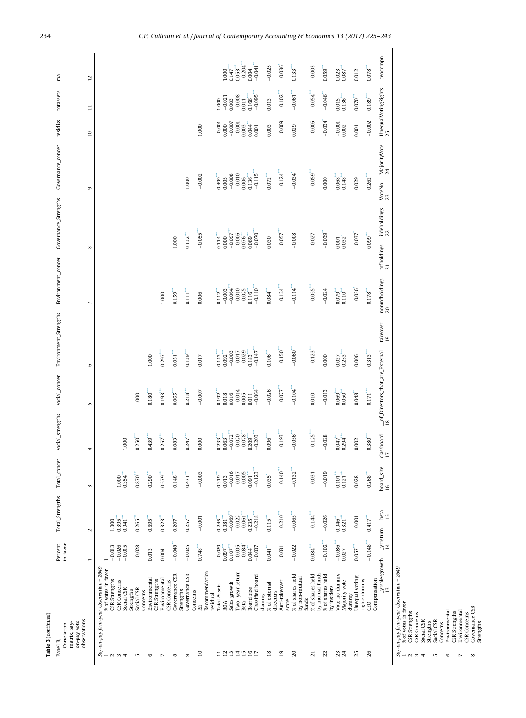| Table 3 (continued)                                                    |                                                                                 |                                 |                                                 |                                 |                        |                                                                                                                                                                                                                                                                                                             |                                    |                                    |                        |                                                |                                    |                                                          |                                               |                                 |
|------------------------------------------------------------------------|---------------------------------------------------------------------------------|---------------------------------|-------------------------------------------------|---------------------------------|------------------------|-------------------------------------------------------------------------------------------------------------------------------------------------------------------------------------------------------------------------------------------------------------------------------------------------------------|------------------------------------|------------------------------------|------------------------|------------------------------------------------|------------------------------------|----------------------------------------------------------|-----------------------------------------------|---------------------------------|
| observations<br>on-pay vote<br>matrix, say-<br>Correlation<br>Panel B, |                                                                                 | in favor<br>Percent             | Total_Strengths                                 | Total_concer                    | social_strengths       | social_concer                                                                                                                                                                                                                                                                                               | Environment_Strengths              | Environment_concer                 |                        | Governance_Strengths                           | Governance_concer                  | residiss                                                 | totassets                                     | roa                             |
|                                                                        |                                                                                 |                                 | $\sim$                                          |                                 | 4                      | S                                                                                                                                                                                                                                                                                                           | 6                                  | $\overline{ }$                     | $\infty$               |                                                | G                                  | $\overline{10}$                                          | Ξ                                             | $\overline{12}$                 |
|                                                                        | Say-on-pay firm-year observation = 2649<br>% of votes in favor<br>CSR Strengths | $-0.013$                        | 1.000                                           |                                 |                        |                                                                                                                                                                                                                                                                                                             |                                    |                                    |                        |                                                |                                    |                                                          |                                               |                                 |
| $\sim$ $\sim$<br>4                                                     | CSR Concerns<br>Social CSR                                                      | $-0.026$<br>$-0.015$            | $0.941$ <sup>**</sup><br>$0.395$ <sup>***</sup> | $0.354$ <sup>***</sup><br>1.000 | 1.000                  |                                                                                                                                                                                                                                                                                                             |                                    |                                    |                        |                                                |                                    |                                                          |                                               |                                 |
| 5                                                                      | Social CSR<br>Strengths                                                         | $-0.028$                        | 0.265                                           | 0.870                           | $0.250$ <sup>***</sup> | 1.000                                                                                                                                                                                                                                                                                                       |                                    |                                    |                        |                                                |                                    |                                                          |                                               |                                 |
| G                                                                      | Environmental<br>CSR Strengths<br>Concerns                                      | 0.013                           | $0.695$ <sup>***</sup>                          | 0.290                           | 0.439                  | 0.180                                                                                                                                                                                                                                                                                                       | 1.000                              |                                    |                        |                                                |                                    |                                                          |                                               |                                 |
|                                                                        | Environmental<br>CSR Concerns                                                   | 0.004                           | $0.323$ <sup>***</sup>                          | $0.579$ <sup>**</sup>           | $0.257$ <sup>***</sup> | $0.193$ $\cdots$                                                                                                                                                                                                                                                                                            | $0.297$ <sup>***</sup>             | 1.000                              |                        |                                                |                                    |                                                          |                                               |                                 |
| $\infty$                                                               | Governance CSR                                                                  | $-0.048$                        | 0.207                                           | $0.148$<br><br>$\cdots$         | $0.083$ <sup>***</sup> | 0.065                                                                                                                                                                                                                                                                                                       | $0.051$ <sup>---</sup>             | 0.159                              | 1.000                  |                                                |                                    |                                                          |                                               |                                 |
| G                                                                      | Governance CSR<br>Strengths<br>Concerns                                         | $-0.025$                        | 0.257                                           | $0.471$ <sup>---</sup>          | $0.247$ <sup>***</sup> | 0.218                                                                                                                                                                                                                                                                                                       | 0.139                              | $0.111$ $^{\circ\circ}$            | $0.132$ <sup>***</sup> |                                                | 1.000                              |                                                          |                                               |                                 |
| $\Xi$                                                                  | Recommendation<br>ISS                                                           | 0.748                           | $-0.001$                                        | $-0.003$                        | 0.000                  | $-0.007$                                                                                                                                                                                                                                                                                                    | 0.017                              | 0.006                              |                        | $-0.055$                                       | $-0.002$                           | 1.000                                                    |                                               |                                 |
|                                                                        | Total Assets<br>residual                                                        | $-0.029$                        | 0.245                                           | $0.319$ <sup>---</sup>          | $0.233$ <sup>***</sup> | 0.192                                                                                                                                                                                                                                                                                                       | $0.143$ <sup>***</sup>             |                                    |                        |                                                | 0.499                              |                                                          | 000                                           |                                 |
|                                                                        | <b>ROA</b>                                                                      | $0.107$ <sup>---</sup><br>0.097 | $-0.069$<br>$0.081$ <sup>***</sup>              | $-0.016$<br>0.013               | $-0.072$<br>$0.063$    | 0.018                                                                                                                                                                                                                                                                                                       | $0.092$ <sup>***</sup><br>$-0.003$ | $0.112$<br>-0.003<br>-0.064        |                        | $0.114$ <sup>114</sup><br>$-0.000$<br>$-0.097$ | $0.005 - 0.008$                    | $\begin{array}{r} -0.001 \\ 0.000 \\ -0.007 \end{array}$ | $-0.021$<br>0.003                             | $0.147$ <sup>---</sup><br>1.000 |
|                                                                        | Two-year return<br>Sales growth                                                 | $-0.005$                        | $-0.022$                                        | $-0.017$                        | $-0.020$               | $-0.014$                                                                                                                                                                                                                                                                                                    | $-0.017$                           | $-0.010$                           |                        |                                                | $-0.010$                           |                                                          | $-0.008$                                      | $0.053$                         |
| 1221992                                                                | Board size<br>Beta                                                              | $-0.034$<br>0.044               | $0.235$ <sup>***</sup><br>$-0.061$ <sup>*</sup> | $\frac{-0.005}{0.091}$          | $-0.078$<br>0.209      | 0.005<br>0.011                                                                                                                                                                                                                                                                                              | $-0.029$<br>0.183                  | $-0.025$<br>$0.116$ <sup>---</sup> | $\frac{-0.006}{0.076}$ |                                                | 0.006<br>0.136                     | $\frac{-0.001}{0.003}$                                   | $\begin{array}{c} 0.011 \\ 0.166 \end{array}$ | $-0.204$<br>0.004               |
|                                                                        | Classified board                                                                | $-0.007$                        | $-0.218$                                        | $-0.123$                        | $-0.203$               | $-0.064$                                                                                                                                                                                                                                                                                                    | $-0.147$                           | $-0.110$ <sup>---</sup>            |                        | $-0.070$                                       | $-0.115$                           | 0.001                                                    | $-0.095$                                      | $-0.041$                        |
| $^{8}$                                                                 | % of external<br>dummy                                                          | $0.041$ .                       | 0.115                                           | $0.035$ <sup>*</sup>            | $0.096$ <sup>***</sup> | $-0.026$                                                                                                                                                                                                                                                                                                    | $0.106$ <sup>---</sup>             | $0.084$ <sup>***</sup>             | 0.030                  |                                                | $0.072$ <sup>***</sup>             | 0.003                                                    | 0.013                                         | $-0.025$                        |
| $\overline{1}$                                                         | Anti-takeover<br>directors                                                      | $-0.031$                        | $-0.210$                                        | $-0.140$                        | $-0.193$               | $-0.077$                                                                                                                                                                                                                                                                                                    | $-0.150$ <sup>***</sup>            | $-0.124$                           |                        | $-0.057$                                       | $-0.124$ <sup>***</sup>            | $-0.009$                                                 | $-0.102$                                      | $-0.036$ <sup>*</sup>           |
| $\overline{c}$                                                         | % of shares held<br>by non-mutual<br>score                                      | $-0.022$                        | $-0.065$                                        | $-0.132$                        | $-0.056$               | $-0.104$                                                                                                                                                                                                                                                                                                    | $-0.060$<br>$^{\circ\bullet}$      | $-0.114$                           | $-0.008$               |                                                | $-0.034$ <sup>*</sup>              | 0.029                                                    | $-0.061$                                      | $0.133$ <sup>**</sup>           |
| 21                                                                     | % of shares held<br>funds                                                       | $0.084$ <sup>***</sup>          | $-0.144$                                        | $-0.031$                        | $-0.125$               | 0.010                                                                                                                                                                                                                                                                                                       | $-0.123$                           | $-0.055$                           | $-0.027$               |                                                | $-0.059$ .                         | $-0.005$                                                 | $-0.054$                                      | $-0.003$                        |
| 22                                                                     | by mutual funds<br>% of shares held                                             | $-0.102$                        | $-0.026$                                        | $-0.019$                        | $-0.028$               | $-0.013$                                                                                                                                                                                                                                                                                                    | 0.000                              | $-0.024$                           | $-0.039$               |                                                | 0.000                              | $-0.034$ <sup>*</sup>                                    | $-0.046$                                      | $0.059$ <sup>***</sup>          |
|                                                                        | Vote no dummy<br>by insiders                                                    | $-0.086$                        | 0.046                                           | $0.101$ <sup>**</sup>           | 0.047                  |                                                                                                                                                                                                                                                                                                             |                                    |                                    |                        |                                                |                                    |                                                          |                                               |                                 |
| 23                                                                     | Majority vote                                                                   | 0.027                           | $0.321$ <sup>***</sup>                          | $0.121$ <sup>---</sup>          | $0.294$ <sup>***</sup> | 0.069                                                                                                                                                                                                                                                                                                       | $\frac{0.027}{0.253}$              | $0.079$<br>$0.110$                 | $0.001$<br>$0.032$     |                                                | $0.068$<br>$0.148$                 | $-0.001$<br>0.002                                        | $\begin{array}{c} 0.015 \\ 0.136 \end{array}$ | $0.023$<br>$0.087$              |
| 25                                                                     | Unequal voting<br>dummy                                                         | $0.057$ <sup>---</sup>          | $-0.001$                                        | 0.028                           | 0.002                  | 0.048                                                                                                                                                                                                                                                                                                       | 0.006                              | $-0.036$                           | $-0.037$ <sup>*</sup>  |                                                | 0.029                              | 0.001                                                    | 0.070                                         | 0.012                           |
| 26                                                                     | Compensation<br>rights dummy<br><b>GBO</b>                                      | $-0.148$                        | $0.417$ <sup>***</sup>                          | 0.268'''                        | $0.380$ <sup>***</sup> | $0.171$ <sup>---</sup>                                                                                                                                                                                                                                                                                      | $0.313$ <sup>***</sup>             | 0.178                              | $0.099$ <sup>***</sup> |                                                | $0.262$ <sup>***</sup>             | $-0.002$                                                 | $0.189$ <sup>**</sup>                         | $0.078$ <sup>***</sup>          |
|                                                                        | $\frac{1}{3}$ rsalesgrowth                                                      | $J$ rreturn<br>$\overline{4}$   | beta<br>$\overline{15}$                         | board_size<br>16                | classboard<br>$17$     | $\frac{1}{18}$ $\frac{1}{18}$ $\frac{1}{18}$ $\frac{1}{18}$ $\frac{1}{18}$ $\frac{1}{18}$ $\frac{1}{18}$ $\frac{1}{18}$ $\frac{1}{18}$ $\frac{1}{18}$ $\frac{1}{18}$ $\frac{1}{18}$ $\frac{1}{18}$ $\frac{1}{18}$ $\frac{1}{18}$ $\frac{1}{18}$ $\frac{1}{18}$ $\frac{1}{18}$ $\frac{1}{18}$ $\frac{1}{18}$ | takeover<br>19                     | nonmfholdings<br>$20$              | mfholdings<br>21       | iideholdings<br>$22$                           | MajorityVote<br>24<br>VoteNo<br>23 |                                                          | UnequalVotingRights<br>25                     | ceocompn                        |

Say-on-pay firm-year observation = 2649

1 % of votes in favor

2 CSR Strengths 3 CSR Concerns

4 Social CSR

5 Social CSR

Concerns

6 Environmental

Strengths<br>Social CSI<br>Concerns<br>Environm<br>Environm<br>Environm<br>CSR Concernan<br>Covernan

CSR Strengths

7 Environmental

CSR Concerns

8 Governance CSR

234 C.P. Cullinan et al. / Journal of Contemporary Accounting & Economics 13 (2017) 225–243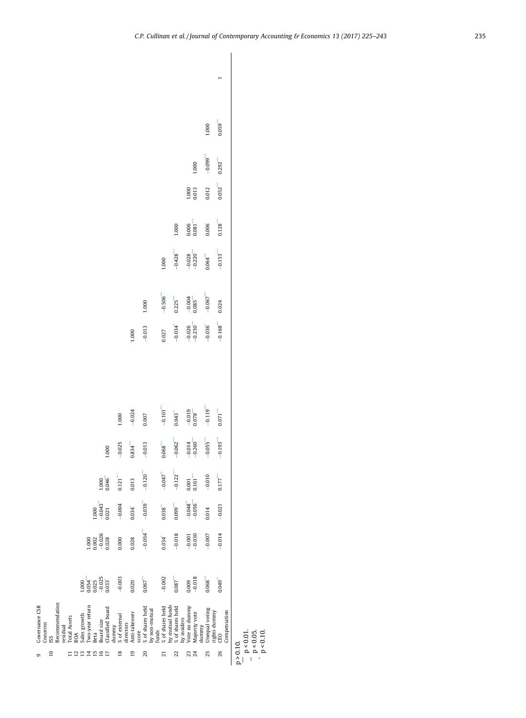|                                                                                                                                                           |                        |                            |                           |                                           |                                     | $\frac{1,000}{0.013}$                                | 0.012                          | 0.052                              |
|-----------------------------------------------------------------------------------------------------------------------------------------------------------|------------------------|----------------------------|---------------------------|-------------------------------------------|-------------------------------------|------------------------------------------------------|--------------------------------|------------------------------------|
|                                                                                                                                                           |                        |                            |                           |                                           | 1.000                               | $\begin{array}{c} 0.006 \\ 0.081 \end{array}$        | 0.006                          | 0.128                              |
|                                                                                                                                                           |                        |                            |                           | 1.000                                     | $-0.428$                            | $-0.220$<br>$-0.028$                                 | $0.064$ <sup>***</sup>         | $-0.153$                           |
|                                                                                                                                                           |                        |                            | 1.000                     | $-0.506$                                  | 0.225                               | 0.085'''<br>$-0.004$                                 | $-0.067$                       | 0.024                              |
|                                                                                                                                                           |                        | 1.000                      | $-0.013$                  | 0.027                                     | $-0.034$                            | $-0.026$<br>$-0.230$                                 | $-0.036$                       | $-0.168$                           |
|                                                                                                                                                           |                        |                            |                           |                                           |                                     |                                                      |                                |                                    |
|                                                                                                                                                           | 1.000                  | $-0.024$                   | 0.007                     | $-0.101$                                  | 0.043"                              | $-0.019$<br>$0.078$                                  | $-0.119$                       | $0.071$ <sup>***</sup>             |
| 1.000                                                                                                                                                     | $-0.025$               | 0.834                      | $-0.013$                  | 0.068                                     | $-0.062$                            | $-0.014$<br>$-0.260$                                 | $-0.055$                       | $-0.193$                           |
| 1.000                                                                                                                                                     | $0.121$ <sup>**</sup>  | 0.013                      | $-0.120$ <sup>**</sup>    | $-0.047$                                  | $-0.122$                            | $\begin{array}{c} 0.001 \\ 0.161 \end{array}$        | $-0.010$                       | $0.177$ <sup>---</sup>             |
| $\frac{-0.043}{0.021}$<br>0001                                                                                                                            | $-0.004$               | 0.034                      | $-0.039$                  | 0.038"                                    | $0.099$ <sup>***</sup>              | $-0.048$<br>$-0.056$                                 | 0.014                          | $-0.021$                           |
| $-0.026$<br>$0.028$<br>$\begin{array}{c} 1.000 \\ 0.002 \end{array}$                                                                                      | 0.000                  | 0.028                      | $-0.054$                  | $0.034$ <sup>*</sup>                      | $-0.018$                            | $-0.030$<br>$-0.001$                                 | $-0.007$                       | $-0.014$                           |
| $\begin{array}{c} 0.054 \\ 0.025 \\ -0.025 \\ 0.033 \end{array}$<br>000                                                                                   | $-0.003$               | 0.020                      | 0.067                     | $-0.002$                                  | $0.087$ <sup>***</sup>              | $-0.018$<br>0.009                                    | 0.068                          | 0.049                              |
| Recommendation<br>Governance CSR<br>Iwo-year return<br>Classified board<br>sales growth<br>otal Assets<br>3oard size<br>Concerns<br>esidual<br>seta<br>δÁ | % of external<br>dummy | Anti-takeover<br>directors | % of shares held<br>score | % of shares held<br>by non-mutual<br>unds | by mutual funds<br>% of shares held | <b>Jote</b> no dummy<br>Majority vote<br>by insiders | <b>Jnequal voting</b><br>tumny | ights dummy<br>Compensation<br>CEO |
| $\overline{10}$<br>1902<br>22<br>G                                                                                                                        | $\frac{8}{2}$          | $\overline{1}$             | $\overline{20}$           | 21                                        | 22                                  | 23<br>24                                             | 25                             | 26                                 |

0.013 1.000

 $\begin{array}{c} 1.000 \\ 0.013 \end{array}$ 0.012

 $1.000$ 

 $0.006$   $0.012$   $0.099$ 

 $0.052$ 

 $0.292$ 

0.059<sup>\*\*\*</sup>

 $\overline{ }$ 

 $-0.099$ 

1.000

 $p > 0.10$ .

p < 0.01. \*\* p < 0.05. \* p < 0.10.

<span id="page-11-0"></span>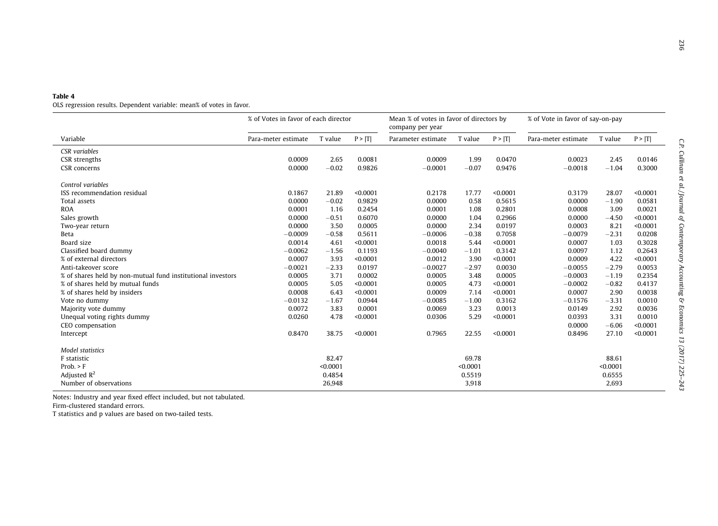<span id="page-12-0"></span>OLS regression results. Dependent variable: mean% of votes in favor.

|                                                             | % of Votes in favor of each director |          |          | Mean % of votes in favor of directors by<br>company per year |          |          | % of Vote in favor of say-on-pay |          |          |
|-------------------------------------------------------------|--------------------------------------|----------|----------|--------------------------------------------------------------|----------|----------|----------------------------------|----------|----------|
| Variable                                                    | Para-meter estimate                  | T value  | P >  T   | Parameter estimate                                           | T value  | P >  T   | Para-meter estimate              | T value  | P >  T   |
| CSR variables                                               |                                      |          |          |                                                              |          |          |                                  |          |          |
| CSR strengths                                               | 0.0009                               | 2.65     | 0.0081   | 0.0009                                                       | 1.99     | 0.0470   | 0.0023                           | 2.45     | 0.0146   |
| CSR concerns                                                | 0.0000                               | $-0.02$  | 0.9826   | $-0.0001$                                                    | $-0.07$  | 0.9476   | $-0.0018$                        | $-1.04$  | 0.3000   |
| Control variables                                           |                                      |          |          |                                                              |          |          |                                  |          |          |
| ISS recommendation residual                                 | 0.1867                               | 21.89    | < 0.0001 | 0.2178                                                       | 17.77    | < 0.0001 | 0.3179                           | 28.07    | < 0.0001 |
| Total assets                                                | 0.0000                               | $-0.02$  | 0.9829   | 0.0000                                                       | 0.58     | 0.5615   | 0.0000                           | $-1.90$  | 0.0581   |
| <b>ROA</b>                                                  | 0.0001                               | 1.16     | 0.2454   | 0.0001                                                       | 1.08     | 0.2801   | 0.0008                           | 3.09     | 0.0021   |
| Sales growth                                                | 0.0000                               | $-0.51$  | 0.6070   | 0.0000                                                       | 1.04     | 0.2966   | 0.0000                           | $-4.50$  | < 0.0001 |
| Two-year return                                             | 0.0000                               | 3.50     | 0.0005   | 0.0000                                                       | 2.34     | 0.0197   | 0.0003                           | 8.21     | < 0.0001 |
| Beta                                                        | $-0.0009$                            | $-0.58$  | 0.5611   | $-0.0006$                                                    | $-0.38$  | 0.7058   | $-0.0079$                        | $-2.31$  | 0.0208   |
| Board size                                                  | 0.0014                               | 4.61     | < 0.0001 | 0.0018                                                       | 5.44     | < 0.0001 | 0.0007                           | 1.03     | 0.3028   |
| Classified board dummy                                      | $-0.0062$                            | $-1.56$  | 0.1193   | $-0.0040$                                                    | $-1.01$  | 0.3142   | 0.0097                           | 1.12     | 0.2643   |
| % of external directors                                     | 0.0007                               | 3.93     | < 0.0001 | 0.0012                                                       | 3.90     | < 0.0001 | 0.0009                           | 4.22     | < 0.0001 |
| Anti-takeover score                                         | $-0.0021$                            | $-2.33$  | 0.0197   | $-0.0027$                                                    | $-2.97$  | 0.0030   | $-0.0055$                        | $-2.79$  | 0.0053   |
| % of shares held by non-mutual fund institutional investors | 0.0005                               | 3.71     | 0.0002   | 0.0005                                                       | 3.48     | 0.0005   | $-0.0003$                        | $-1.19$  | 0.2354   |
| % of shares held by mutual funds                            | 0.0005                               | 5.05     | < 0.0001 | 0.0005                                                       | 4.73     | < 0.0001 | $-0.0002$                        | $-0.82$  | 0.4137   |
| % of shares held by insiders                                | 0.0008                               | 6.43     | < 0.0001 | 0.0009                                                       | 7.14     | < 0.0001 | 0.0007                           | 2.90     | 0.0038   |
| Vote no dummy                                               | $-0.0132$                            | $-1.67$  | 0.0944   | $-0.0085$                                                    | $-1.00$  | 0.3162   | $-0.1576$                        | $-3.31$  | 0.0010   |
| Majority vote dummy                                         | 0.0072                               | 3.83     | 0.0001   | 0.0069                                                       | 3.23     | 0.0013   | 0.0149                           | 2.92     | 0.0036   |
| Unequal voting rights dummy                                 | 0.0260                               | 4.78     | < 0.0001 | 0.0306                                                       | 5.29     | < 0.0001 | 0.0393                           | 3.31     | 0.0010   |
| CEO compensation                                            |                                      |          |          |                                                              |          |          | 0.0000                           | $-6.06$  | < 0.0001 |
| Intercept                                                   | 0.8470                               | 38.75    | < 0.0001 | 0.7965                                                       | 22.55    | < 0.0001 | 0.8496                           | 27.10    | < 0.0001 |
| <b>Model statistics</b>                                     |                                      |          |          |                                                              |          |          |                                  |          |          |
| F statistic                                                 |                                      | 82.47    |          |                                                              | 69.78    |          |                                  | 88.61    |          |
| Prob. > F                                                   |                                      | < 0.0001 |          |                                                              | < 0.0001 |          |                                  | < 0.0001 |          |
| Adjusted $R^2$                                              |                                      | 0.4854   |          |                                                              | 0.5519   |          |                                  | 0.6555   |          |
| Number of observations                                      |                                      | 26,948   |          |                                                              | 3,918    |          |                                  | 2,693    |          |

Notes: Industry and year fixed effect included, but not tabulated.

Firm-clustered standard errors.

T statistics and p values are based on two-tailed tests.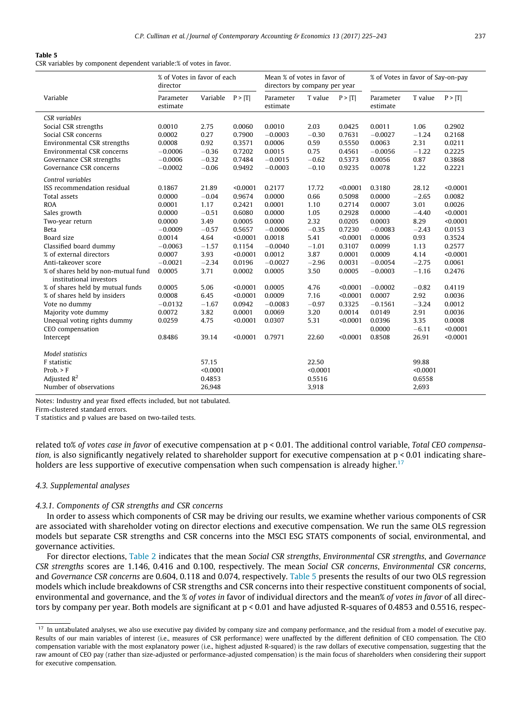<span id="page-13-0"></span>CSR variables by component dependent variable:% of votes in favor.

|                                                                | % of Votes in favor of each<br>director |          |          | Mean % of votes in favor of<br>directors by company per year |          |          | % of Votes in favor of Say-on-pay |          |          |
|----------------------------------------------------------------|-----------------------------------------|----------|----------|--------------------------------------------------------------|----------|----------|-----------------------------------|----------|----------|
| Variable                                                       | Parameter<br>estimate                   | Variable | P >  T   | Parameter<br>estimate                                        | T value  | P >  T   | Parameter<br>estimate             | T value  | P >  T   |
| <b>CSR</b> variables                                           |                                         |          |          |                                                              |          |          |                                   |          |          |
| Social CSR strengths                                           | 0.0010                                  | 2.75     | 0.0060   | 0.0010                                                       | 2.03     | 0.0425   | 0.0011                            | 1.06     | 0.2902   |
| Social CSR concerns                                            | 0.0002                                  | 0.27     | 0.7900   | $-0.0003$                                                    | $-0.30$  | 0.7631   | $-0.0027$                         | $-1.24$  | 0.2168   |
| Environmental CSR strengths                                    | 0.0008                                  | 0.92     | 0.3571   | 0.0006                                                       | 0.59     | 0.5550   | 0.0063                            | 2.31     | 0.0211   |
| Environmental CSR concerns                                     | $-0.0006$                               | $-0.36$  | 0.7202   | 0.0015                                                       | 0.75     | 0.4561   | $-0.0056$                         | $-1.22$  | 0.2225   |
| Governance CSR strengths                                       | $-0.0006$                               | $-0.32$  | 0.7484   | $-0.0015$                                                    | $-0.62$  | 0.5373   | 0.0056                            | 0.87     | 0.3868   |
| Governance CSR concerns                                        | $-0.0002$                               | $-0.06$  | 0.9492   | $-0.0003$                                                    | $-0.10$  | 0.9235   | 0.0078                            | 1.22     | 0.2221   |
| Control variables                                              |                                         |          |          |                                                              |          |          |                                   |          |          |
| ISS recommendation residual                                    | 0.1867                                  | 21.89    | < 0.0001 | 0.2177                                                       | 17.72    | < 0.0001 | 0.3180                            | 28.12    | < 0.0001 |
| Total assets                                                   | 0.0000                                  | $-0.04$  | 0.9674   | 0.0000                                                       | 0.66     | 0.5098   | 0.0000                            | $-2.65$  | 0.0082   |
| <b>ROA</b>                                                     | 0.0001                                  | 1.17     | 0.2421   | 0.0001                                                       | 1.10     | 0.2714   | 0.0007                            | 3.01     | 0.0026   |
| Sales growth                                                   | 0.0000                                  | $-0.51$  | 0.6080   | 0.0000                                                       | 1.05     | 0.2928   | 0.0000                            | $-4.40$  | < 0.0001 |
| Two-year return                                                | 0.0000                                  | 3.49     | 0.0005   | 0.0000                                                       | 2.32     | 0.0205   | 0.0003                            | 8.29     | < 0.0001 |
| Beta                                                           | $-0.0009$                               | $-0.57$  | 0.5657   | $-0.0006$                                                    | $-0.35$  | 0.7230   | $-0.0083$                         | $-2.43$  | 0.0153   |
| Board size                                                     | 0.0014                                  | 4.64     | < 0.0001 | 0.0018                                                       | 5.41     | < 0.0001 | 0.0006                            | 0.93     | 0.3524   |
| Classified board dummy                                         | $-0.0063$                               | $-1.57$  | 0.1154   | $-0.0040$                                                    | $-1.01$  | 0.3107   | 0.0099                            | 1.13     | 0.2577   |
| % of external directors                                        | 0.0007                                  | 3.93     | < 0.0001 | 0.0012                                                       | 3.87     | 0.0001   | 0.0009                            | 4.14     | < 0.0001 |
| Anti-takeover score                                            | $-0.0021$                               | $-2.34$  | 0.0196   | $-0.0027$                                                    | $-2.96$  | 0.0031   | $-0.0054$                         | $-2.75$  | 0.0061   |
| % of shares held by non-mutual fund<br>institutional investors | 0.0005                                  | 3.71     | 0.0002   | 0.0005                                                       | 3.50     | 0.0005   | $-0.0003$                         | $-1.16$  | 0.2476   |
| % of shares held by mutual funds                               | 0.0005                                  | 5.06     | < 0.0001 | 0.0005                                                       | 4.76     | < 0.0001 | $-0.0002$                         | $-0.82$  | 0.4119   |
| % of shares held by insiders                                   | 0.0008                                  | 6.45     | < 0.0001 | 0.0009                                                       | 7.16     | < 0.0001 | 0.0007                            | 2.92     | 0.0036   |
| Vote no dummy                                                  | $-0.0132$                               | $-1.67$  | 0.0942   | $-0.0083$                                                    | $-0.97$  | 0.3325   | $-0.1561$                         | $-3.24$  | 0.0012   |
| Majority vote dummy                                            | 0.0072                                  | 3.82     | 0.0001   | 0.0069                                                       | 3.20     | 0.0014   | 0.0149                            | 2.91     | 0.0036   |
| Unequal voting rights dummy                                    | 0.0259                                  | 4.75     | < 0.0001 | 0.0307                                                       | 5.31     | < 0.0001 | 0.0396                            | 3.35     | 0.0008   |
| CEO compensation                                               |                                         |          |          |                                                              |          |          | 0.0000                            | $-6.11$  | < 0.0001 |
| Intercept                                                      | 0.8486                                  | 39.14    | < 0.0001 | 0.7971                                                       | 22.60    | < 0.0001 | 0.8508                            | 26.91    | < 0.0001 |
| <b>Model statistics</b>                                        |                                         |          |          |                                                              |          |          |                                   |          |          |
| F statistic                                                    |                                         | 57.15    |          |                                                              | 22.50    |          |                                   | 99.88    |          |
| Prob. > F                                                      |                                         | < 0.0001 |          |                                                              | < 0.0001 |          |                                   | < 0.0001 |          |
| Adjusted $R^2$                                                 |                                         | 0.4853   |          |                                                              | 0.5516   |          |                                   | 0.6558   |          |
| Number of observations                                         |                                         | 26,948   |          |                                                              | 3,918    |          |                                   | 2,693    |          |

Notes: Industry and year fixed effects included, but not tabulated.

Firm-clustered standard errors.

T statistics and p values are based on two-tailed tests.

related to% of votes case in favor of executive compensation at p < 0.01. The additional control variable, Total CEO compensation, is also significantly negatively related to shareholder support for executive compensation at p < 0.01 indicating shareholders are less supportive of executive compensation when such compensation is already higher.<sup>17</sup>

#### 4.3. Supplemental analyses

#### 4.3.1. Components of CSR strengths and CSR concerns

In order to assess which components of CSR may be driving our results, we examine whether various components of CSR are associated with shareholder voting on director elections and executive compensation. We run the same OLS regression models but separate CSR strengths and CSR concerns into the MSCI ESG STATS components of social, environmental, and governance activities.

For director elections, [Table 2](#page-8-0) indicates that the mean Social CSR strengths, Environmental CSR strengths, and Governance CSR strengths scores are 1.146, 0.416 and 0.100, respectively. The mean Social CSR concerns, Environmental CSR concerns, and Governance CSR concerns are 0.604, 0.118 and 0.074, respectively. Table 5 presents the results of our two OLS regression models which include breakdowns of CSR strengths and CSR concerns into their respective constituent components of social, environmental and governance, and the % of votes in favor of individual directors and the mean% of votes in favor of all directors by company per year. Both models are significant at p < 0.01 and have adjusted R-squares of 0.4853 and 0.5516, respec-

<sup>&</sup>lt;sup>17</sup> In untabulated analyses, we also use executive pay divided by company size and company performance, and the residual from a model of executive pay. Results of our main variables of interest (i.e., measures of CSR performance) were unaffected by the different definition of CEO compensation. The CEO compensation variable with the most explanatory power (i.e., highest adjusted R-squared) is the raw dollars of executive compensation, suggesting that the raw amount of CEO pay (rather than size-adjusted or performance-adjusted compensation) is the main focus of shareholders when considering their support for executive compensation.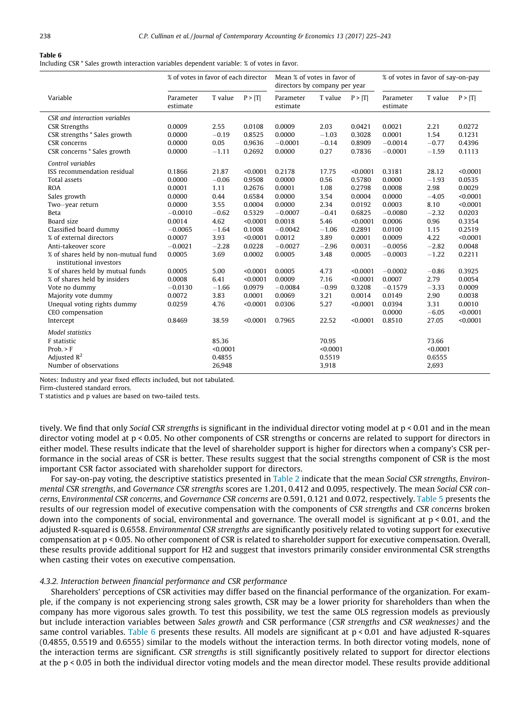Including CSR \* Sales growth interaction variables dependent variable: % of votes in favor.

|                                                                | % of votes in favor of each director |          |          | Mean % of votes in favor of<br>directors by company per year |          |          | % of votes in favor of say-on-pay |          |          |
|----------------------------------------------------------------|--------------------------------------|----------|----------|--------------------------------------------------------------|----------|----------|-----------------------------------|----------|----------|
| Variable                                                       | Parameter<br>estimate                | T value  | P >  T   | Parameter<br>estimate                                        | T value  | P >  T   | Parameter<br>estimate             | T value  | P >  T   |
| CSR and interaction variables                                  |                                      |          |          |                                                              |          |          |                                   |          |          |
| <b>CSR Strengths</b>                                           | 0.0009                               | 2.55     | 0.0108   | 0.0009                                                       | 2.03     | 0.0421   | 0.0021                            | 2.21     | 0.0272   |
| CSR strengths * Sales growth                                   | 0.0000                               | $-0.19$  | 0.8525   | 0.0000                                                       | $-1.03$  | 0.3028   | 0.0001                            | 1.54     | 0.1231   |
| CSR concerns                                                   | 0.0000                               | 0.05     | 0.9636   | $-0.0001$                                                    | $-0.14$  | 0.8909   | $-0.0014$                         | $-0.77$  | 0.4396   |
| CSR concerns * Sales growth                                    | 0.0000                               | $-1.11$  | 0.2692   | 0.0000                                                       | 0.27     | 0.7836   | $-0.0001$                         | $-1.59$  | 0.1113   |
| Control variables                                              |                                      |          |          |                                                              |          |          |                                   |          |          |
| ISS recommendation residual                                    | 0.1866                               | 21.87    | < 0.0001 | 0.2178                                                       | 17.75    | < 0.0001 | 0.3181                            | 28.12    | < 0.0001 |
| Total assets                                                   | 0.0000                               | $-0.06$  | 0.9508   | 0.0000                                                       | 0.56     | 0.5780   | 0.0000                            | $-1.93$  | 0.0535   |
| <b>ROA</b>                                                     | 0.0001                               | 1.11     | 0.2676   | 0.0001                                                       | 1.08     | 0.2798   | 0.0008                            | 2.98     | 0.0029   |
| Sales growth                                                   | 0.0000                               | 0.44     | 0.6584   | 0.0000                                                       | 3.54     | 0.0004   | 0.0000                            | $-4.05$  | < 0.0001 |
| Two-year return                                                | 0.0000                               | 3.55     | 0.0004   | 0.0000                                                       | 2.34     | 0.0192   | 0.0003                            | 8.10     | < 0.0001 |
| Beta                                                           | $-0.0010$                            | $-0.62$  | 0.5329   | $-0.0007$                                                    | $-0.41$  | 0.6825   | $-0.0080$                         | $-2.32$  | 0.0203   |
| Board size                                                     | 0.0014                               | 4.62     | < 0.0001 | 0.0018                                                       | 5.46     | < 0.0001 | 0.0006                            | 0.96     | 0.3354   |
| Classified board dummy                                         | $-0.0065$                            | $-1.64$  | 0.1008   | $-0.0042$                                                    | $-1.06$  | 0.2891   | 0.0100                            | 1.15     | 0.2519   |
| % of external directors                                        | 0.0007                               | 3.93     | < 0.0001 | 0.0012                                                       | 3.89     | 0.0001   | 0.0009                            | 4.22     | < 0.0001 |
| Anti-takeover score                                            | $-0.0021$                            | $-2.28$  | 0.0228   | $-0.0027$                                                    | $-2.96$  | 0.0031   | $-0.0056$                         | $-2.82$  | 0.0048   |
| % of shares held by non-mutual fund<br>institutional investors | 0.0005                               | 3.69     | 0.0002   | 0.0005                                                       | 3.48     | 0.0005   | $-0.0003$                         | $-1.22$  | 0.2211   |
| % of shares held by mutual funds                               | 0.0005                               | 5.00     | < 0.0001 | 0.0005                                                       | 4.73     | < 0.0001 | $-0.0002$                         | $-0.86$  | 0.3925   |
| % of shares held by insiders                                   | 0.0008                               | 6.41     | < 0.0001 | 0.0009                                                       | 7.16     | < 0.0001 | 0.0007                            | 2.79     | 0.0054   |
| Vote no dummy                                                  | $-0.0130$                            | $-1.66$  | 0.0979   | $-0.0084$                                                    | $-0.99$  | 0.3208   | $-0.1579$                         | $-3.33$  | 0.0009   |
| Majority vote dummy                                            | 0.0072                               | 3.83     | 0.0001   | 0.0069                                                       | 3.21     | 0.0014   | 0.0149                            | 2.90     | 0.0038   |
| Unequal voting rights dummy                                    | 0.0259                               | 4.76     | < 0.0001 | 0.0306                                                       | 5.27     | < 0.0001 | 0.0394                            | 3.31     | 0.0010   |
| CEO compensation                                               |                                      |          |          |                                                              |          |          | 0.0000                            | $-6.05$  | < 0.0001 |
| Intercept                                                      | 0.8469                               | 38.59    | < 0.0001 | 0.7965                                                       | 22.52    | < 0.0001 | 0.8510                            | 27.05    | < 0.0001 |
| <b>Model statistics</b>                                        |                                      |          |          |                                                              |          |          |                                   |          |          |
| F statistic                                                    |                                      | 85.36    |          |                                                              | 70.95    |          |                                   | 73.66    |          |
| Prob. > F                                                      |                                      | < 0.0001 |          |                                                              | < 0.0001 |          |                                   | < 0.0001 |          |
| Adjusted $R^2$                                                 |                                      | 0.4855   |          |                                                              | 0.5519   |          |                                   | 0.6555   |          |
| Number of observations                                         |                                      | 26,948   |          |                                                              | 3,918    |          |                                   | 2,693    |          |

Notes: Industry and year fixed effects included, but not tabulated.

Firm-clustered standard errors.

T statistics and p values are based on two-tailed tests.

tively. We find that only Social CSR strengths is significant in the individual director voting model at p < 0.01 and in the mean director voting model at p < 0.05. No other components of CSR strengths or concerns are related to support for directors in either model. These results indicate that the level of shareholder support is higher for directors when a company's CSR performance in the social areas of CSR is better. These results suggest that the social strengths component of CSR is the most important CSR factor associated with shareholder support for directors.

For say-on-pay voting, the descriptive statistics presented in [Table 2](#page-8-0) indicate that the mean Social CSR strengths, Environmental CSR strengths, and Governance CSR strengths scores are 1.201, 0.412 and 0.095, respectively. The mean Social CSR concerns, Environmental CSR concerns, and Governance CSR concerns are 0.591, 0.121 and 0.072, respectively. [Table 5](#page-13-0) presents the results of our regression model of executive compensation with the components of CSR strengths and CSR concerns broken down into the components of social, environmental and governance. The overall model is significant at  $p < 0.01$ , and the adjusted R-squared is 0.6558. Environmental CSR strengths are significantly positively related to voting support for executive compensation at p < 0.05. No other component of CSR is related to shareholder support for executive compensation. Overall, these results provide additional support for H2 and suggest that investors primarily consider environmental CSR strengths when casting their votes on executive compensation.

# 4.3.2. Interaction between financial performance and CSR performance

Shareholders' perceptions of CSR activities may differ based on the financial performance of the organization. For example, if the company is not experiencing strong sales growth, CSR may be a lower priority for shareholders than when the company has more vigorous sales growth. To test this possibility, we test the same OLS regression models as previously but include interaction variables between Sales growth and CSR performance (CSR strengths and CSR weaknesses) and the same control variables. Table 6 presents these results. All models are significant at  $p < 0.01$  and have adjusted R-squares (0.4855, 0.5519 and 0.6555) similar to the models without the interaction terms. In both director voting models, none of the interaction terms are significant. CSR strengths is still significantly positively related to support for director elections at the p < 0.05 in both the individual director voting models and the mean director model. These results provide additional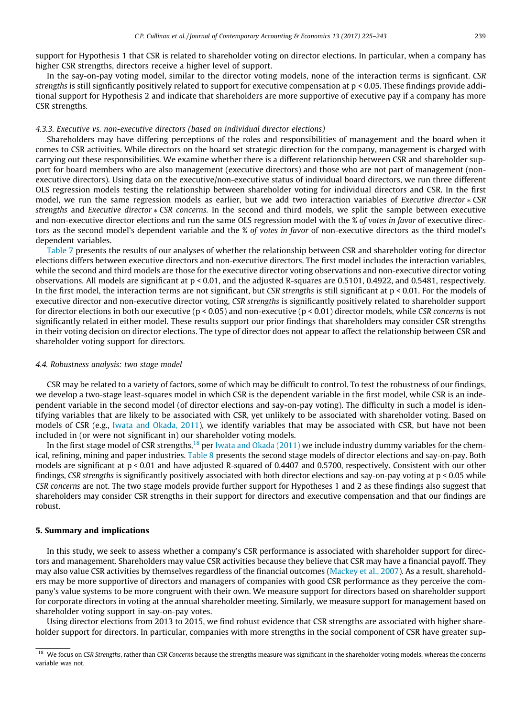support for Hypothesis 1 that CSR is related to shareholder voting on director elections. In particular, when a company has higher CSR strengths, directors receive a higher level of support.

In the say-on-pay voting model, similar to the director voting models, none of the interaction terms is signficant. CSR strengths is still signficantly positively related to support for executive compensation at p < 0.05. These findings provide additional support for Hypothesis 2 and indicate that shareholders are more supportive of executive pay if a company has more CSR strengths.

# 4.3.3. Executive vs. non-executive directors (based on individual director elections)

Shareholders may have differing perceptions of the roles and responsibilities of management and the board when it comes to CSR activities. While directors on the board set strategic direction for the company, management is charged with carrying out these responsibilities. We examine whether there is a different relationship between CSR and shareholder support for board members who are also management (executive directors) and those who are not part of management (nonexecutive directors). Using data on the executive/non-executive status of individual board directors, we run three different OLS regression models testing the relationship between shareholder voting for individual directors and CSR. In the first model, we run the same regression models as earlier, but we add two interaction variables of Executive director  $*$  CSR strengths and Executive director  $*$  CSR concerns. In the second and third models, we split the sample between executive and non-executive director elections and run the same OLS regression model with the % of votes in favor of executive directors as the second model's dependent variable and the % of votes in favor of non-executive directors as the third model's dependent variables.

[Table 7](#page-16-0) presents the results of our analyses of whether the relationship between CSR and shareholder voting for director elections differs between executive directors and non-executive directors. The first model includes the interaction variables, while the second and third models are those for the executive director voting observations and non-executive director voting observations. All models are significant at p < 0.01, and the adjusted R-squares are 0.5101, 0.4922, and 0.5481, respectively. In the first model, the interaction terms are not significant, but CSR strengths is still significant at  $p \le 0.01$ . For the models of executive director and non-executive director voting, CSR strengths is significantly positively related to shareholder support for director elections in both our executive (p < 0.05) and non-executive (p < 0.01) director models, while CSR concerns is not significantly related in either model. These results support our prior findings that shareholders may consider CSR strengths in their voting decision on director elections. The type of director does not appear to affect the relationship between CSR and shareholder voting support for directors.

#### 4.4. Robustness analysis: two stage model

CSR may be related to a variety of factors, some of which may be difficult to control. To test the robustness of our findings, we develop a two-stage least-squares model in which CSR is the dependent variable in the first model, while CSR is an independent variable in the second model (of director elections and say-on-pay voting). The difficulty in such a model is identifying variables that are likely to be associated with CSR, yet unlikely to be associated with shareholder voting. Based on models of CSR (e.g., [Iwata and Okada, 2011](#page-18-0)), we identify variables that may be associated with CSR, but have not been included in (or were not significant in) our shareholder voting models.

In the first stage model of CSR strengths, $18$  per [Iwata and Okada \(2011\)](#page-18-0) we include industry dummy variables for the chemical, refining, mining and paper industries. [Table 8](#page-17-0) presents the second stage models of director elections and say-on-pay. Both models are significant at p < 0.01 and have adjusted R-squared of 0.4407 and 0.5700, respectively. Consistent with our other findings, CSR strengths is significantly positively associated with both director elections and say-on-pay voting at p < 0.05 while CSR concerns are not. The two stage models provide further support for Hypotheses 1 and 2 as these findings also suggest that shareholders may consider CSR strengths in their support for directors and executive compensation and that our findings are robust.

# 5. Summary and implications

In this study, we seek to assess whether a company's CSR performance is associated with shareholder support for directors and management. Shareholders may value CSR activities because they believe that CSR may have a financial payoff. They may also value CSR activities by themselves regardless of the financial outcomes ([Mackey et al., 2007](#page-19-0)). As a result, shareholders may be more supportive of directors and managers of companies with good CSR performance as they perceive the company's value systems to be more congruent with their own. We measure support for directors based on shareholder support for corporate directors in voting at the annual shareholder meeting. Similarly, we measure support for management based on shareholder voting support in say-on-pay votes.

Using director elections from 2013 to 2015, we find robust evidence that CSR strengths are associated with higher shareholder support for directors. In particular, companies with more strengths in the social component of CSR have greater sup-

<sup>&</sup>lt;sup>18</sup> We focus on CSR Strengths, rather than CSR Concerns because the strengths measure was significant in the shareholder voting models, whereas the concerns variable was not.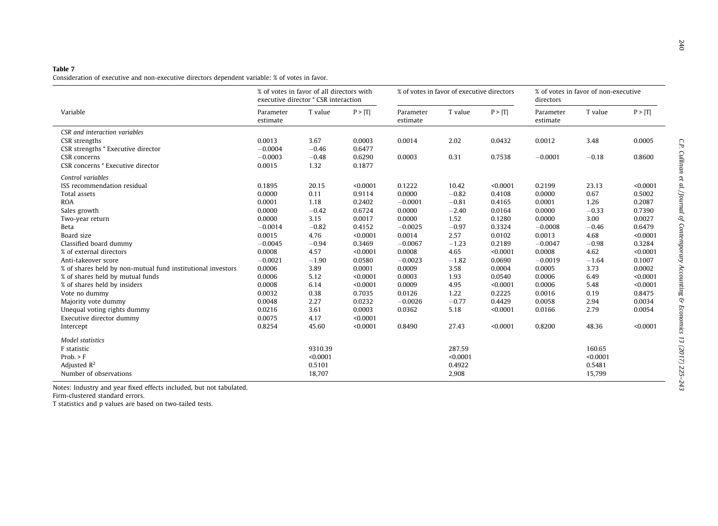<span id="page-16-0"></span>Consideration of executive and non-executive directors dependent variable: % of votes in favor.

|                                                             |                       | % of votes in favor of all directors with<br>executive director * CSR interaction |          |                       | % of votes in favor of executive directors |          | directors             | % of votes in favor of non-executive |          |
|-------------------------------------------------------------|-----------------------|-----------------------------------------------------------------------------------|----------|-----------------------|--------------------------------------------|----------|-----------------------|--------------------------------------|----------|
| Variable                                                    | Parameter<br>estimate | T value                                                                           | P >  T   | Parameter<br>estimate | T value                                    | P >  T   | Parameter<br>estimate | T value                              | P >  T   |
| CSR and interaction variables                               |                       |                                                                                   |          |                       |                                            |          |                       |                                      |          |
| CSR strengths                                               | 0.0013                | 3.67                                                                              | 0.0003   | 0.0014                | 2.02                                       | 0.0432   | 0.0012                | 3.48                                 | 0.0005   |
| CSR strengths * Executive director                          | $-0.0004$             | $-0.46$                                                                           | 0.6477   |                       |                                            |          |                       |                                      |          |
| CSR concerns                                                | $-0.0003$             | $-0.48$                                                                           | 0.6290   | 0.0003                | 0.31                                       | 0.7538   | $-0.0001$             | $-0.18$                              | 0.8600   |
| CSR concerns * Executive director                           | 0.0015                | 1.32                                                                              | 0.1877   |                       |                                            |          |                       |                                      |          |
| Control variables                                           |                       |                                                                                   |          |                       |                                            |          |                       |                                      |          |
| ISS recommendation residual                                 | 0.1895                | 20.15                                                                             | < 0.0001 | 0.1222                | 10.42                                      | < 0.0001 | 0.2199                | 23.13                                | < 0.0001 |
| Total assets                                                | 0.0000                | 0.11                                                                              | 0.9114   | 0.0000                | $-0.82$                                    | 0.4108   | 0.0000                | 0.67                                 | 0.5002   |
| <b>ROA</b>                                                  | 0.0001                | 1.18                                                                              | 0.2402   | $-0.0001$             | $-0.81$                                    | 0.4165   | 0.0001                | 1.26                                 | 0.2087   |
| Sales growth                                                | 0.0000                | $-0.42$                                                                           | 0.6724   | 0.0000                | $-2.40$                                    | 0.0164   | 0.0000                | $-0.33$                              | 0.7390   |
| Two-year return                                             | 0.0000                | 3.15                                                                              | 0.0017   | 0.0000                | 1.52                                       | 0.1280   | 0.0000                | 3.00                                 | 0.0027   |
| Beta                                                        | $-0.0014$             | $-0.82$                                                                           | 0.4152   | $-0.0025$             | $-0.97$                                    | 0.3324   | $-0.0008$             | $-0.46$                              | 0.6479   |
| Board size                                                  | 0.0015                | 4.76                                                                              | < 0.0001 | 0.0014                | 2.57                                       | 0.0102   | 0.0013                | 4.68                                 | < 0.0001 |
| Classified board dummy                                      | $-0.0045$             | $-0.94$                                                                           | 0.3469   | $-0.0067$             | $-1.23$                                    | 0.2189   | $-0.0047$             | $-0.98$                              | 0.3284   |
| % of external directors                                     | 0.0008                | 4.57                                                                              | < 0.0001 | 0.0008                | 4.65                                       | < 0.0001 | 0.0008                | 4.62                                 | < 0.0001 |
| Anti-takeover score                                         | $-0.0021$             | $-1.90$                                                                           | 0.0580   | $-0.0023$             | $-1.82$                                    | 0.0690   | $-0.0019$             | $-1.64$                              | 0.1007   |
| % of shares held by non-mutual fund institutional investors | 0.0006                | 3.89                                                                              | 0.0001   | 0.0009                | 3.58                                       | 0.0004   | 0.0005                | 3.73                                 | 0.0002   |
| % of shares held by mutual funds                            | 0.0006                | 5.12                                                                              | < 0.0001 | 0.0003                | 1.93                                       | 0.0540   | 0.0006                | 6.49                                 | < 0.0001 |
| % of shares held by insiders                                | 0.0008                | 6.14                                                                              | < 0.0001 | 0.0009                | 4.95                                       | < 0.0001 | 0.0006                | 5.48                                 | < 0.0001 |
| Vote no dummy                                               | 0.0032                | 0.38                                                                              | 0.7035   | 0.0126                | 1.22                                       | 0.2225   | 0.0016                | 0.19                                 | 0.8475   |
| Majority vote dummy                                         | 0.0048                | 2.27                                                                              | 0.0232   | $-0.0026$             | $-0.77$                                    | 0.4429   | 0.0058                | 2.94                                 | 0.0034   |
| Unequal voting rights dummy                                 | 0.0216                | 3.61                                                                              | 0.0003   | 0.0362                | 5.18                                       | < 0.0001 | 0.0166                | 2.79                                 | 0.0054   |
| Executive director dummy                                    | 0.0075                | 4.17                                                                              | < 0.0001 |                       |                                            |          |                       |                                      |          |
| Intercept                                                   | 0.8254                | 45.60                                                                             | < 0.0001 | 0.8490                | 27.43                                      | < 0.0001 | 0.8200                | 48.36                                | < 0.0001 |
| <b>Model statistics</b>                                     |                       |                                                                                   |          |                       |                                            |          |                       |                                      |          |
| F statistic                                                 |                       | 9310.39                                                                           |          |                       | 287.59                                     |          |                       | 160.65                               |          |
| Prob. > F                                                   |                       | < 0.0001                                                                          |          |                       | < 0.0001                                   |          |                       | < 0.0001                             |          |
| Adjusted $\mathbb{R}^2$                                     |                       | 0.5101                                                                            |          |                       | 0.4922                                     |          |                       | 0.5481                               |          |
| Number of observations                                      |                       | 18,707                                                                            |          |                       | 2,908                                      |          |                       | 15,799                               |          |

Notes: Industry and year fixed effects included, but not tabulated.

Firm-clustered standard errors.

T statistics and p values are based on two-tailed tests.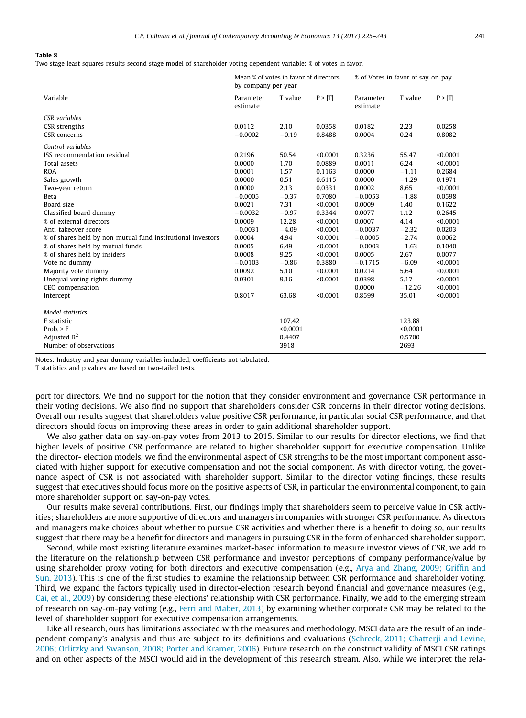<span id="page-17-0"></span>Table 8

Two stage least squares results second stage model of shareholder voting dependent variable: % of votes in favor.

|                                                                       | Mean % of votes in favor of directors<br>by company per year |                    |          | % of Votes in favor of say-on-pay |                              |          |
|-----------------------------------------------------------------------|--------------------------------------------------------------|--------------------|----------|-----------------------------------|------------------------------|----------|
| Variable                                                              | Parameter<br>estimate                                        | T value            | P >  T   | Parameter<br>estimate             | T value                      | P >  T   |
| CSR variables                                                         |                                                              |                    |          |                                   |                              |          |
| CSR strengths                                                         | 0.0112                                                       | 2.10               | 0.0358   | 0.0182                            | 2.23                         | 0.0258   |
| CSR concerns                                                          | $-0.0002$                                                    | $-0.19$            | 0.8488   | 0.0004                            | 0.24                         | 0.8082   |
| Control variables                                                     |                                                              |                    |          |                                   |                              |          |
| ISS recommendation residual                                           | 0.2196                                                       | 50.54              | < 0.0001 | 0.3236                            | 55.47                        | < 0.0001 |
| Total assets                                                          | 0.0000                                                       | 1.70               | 0.0889   | 0.0011                            | 6.24                         | < 0.0001 |
| <b>ROA</b>                                                            | 0.0001                                                       | 1.57               | 0.1163   | 0.0000                            | $-1.11$                      | 0.2684   |
| Sales growth                                                          | 0.0000                                                       | 0.51               | 0.6115   | 0.0000                            | $-1.29$                      | 0.1971   |
| Two-year return                                                       | 0.0000                                                       | 2.13               | 0.0331   | 0.0002                            | 8.65                         | < 0.0001 |
| <b>Beta</b>                                                           | $-0.0005$                                                    | $-0.37$            | 0.7080   | $-0.0053$                         | $-1.88$                      | 0.0598   |
| Board size                                                            | 0.0021                                                       | 7.31               | < 0.0001 | 0.0009                            | 1.40                         | 0.1622   |
| Classified board dummy                                                | $-0.0032$                                                    | $-0.97$            | 0.3344   | 0.0077                            | 1.12                         | 0.2645   |
| % of external directors                                               | 0.0009                                                       | 12.28              | < 0.0001 | 0.0007                            | 4.14                         | < 0.0001 |
| Anti-takeover score                                                   | $-0.0031$                                                    | $-4.09$            | < 0.0001 | $-0.0037$                         | $-2.32$                      | 0.0203   |
| % of shares held by non-mutual fund institutional investors           | 0.0004                                                       | 4.94               | < 0.0001 | $-0.0005$                         | $-2.74$                      | 0.0062   |
| % of shares held by mutual funds                                      | 0.0005                                                       | 6.49               | < 0.0001 | $-0.0003$                         | $-1.63$                      | 0.1040   |
| % of shares held by insiders                                          | 0.0008                                                       | 9.25               | < 0.0001 | 0.0005                            | 2.67                         | 0.0077   |
| Vote no dummy                                                         | $-0.0103$                                                    | $-0.86$            | 0.3880   | $-0.1715$                         | $-6.09$                      | < 0.0001 |
| Majority vote dummy                                                   | 0.0092                                                       | 5.10               | < 0.0001 | 0.0214                            | 5.64                         | < 0.0001 |
| Unequal voting rights dummy                                           | 0.0301                                                       | 9.16               | < 0.0001 | 0.0398                            | 5.17                         | < 0.0001 |
| CEO compensation                                                      |                                                              |                    |          | 0.0000                            | $-12.26$                     | < 0.0001 |
| Intercept                                                             | 0.8017                                                       | 63.68              | < 0.0001 | 0.8599                            | 35.01                        | < 0.0001 |
|                                                                       |                                                              |                    |          |                                   |                              |          |
|                                                                       |                                                              |                    |          |                                   |                              |          |
|                                                                       |                                                              |                    |          |                                   |                              |          |
|                                                                       |                                                              | 0.4407             |          |                                   |                              |          |
| Number of observations                                                |                                                              | 3918               |          |                                   | 2693                         |          |
| <b>Model statistics</b><br>F statistic<br>Prob. > F<br>Adjusted $R^2$ |                                                              | 107.42<br>< 0.0001 |          |                                   | 123.88<br>< 0.0001<br>0.5700 |          |

Notes: Industry and year dummy variables included, coefficients not tabulated.

T statistics and p values are based on two-tailed tests.

port for directors. We find no support for the notion that they consider environment and governance CSR performance in their voting decisions. We also find no support that shareholders consider CSR concerns in their director voting decisions. Overall our results suggest that shareholders value positive CSR performance, in particular social CSR performance, and that directors should focus on improving these areas in order to gain additional shareholder support.

We also gather data on say-on-pay votes from 2013 to 2015. Similar to our results for director elections, we find that higher levels of positive CSR performance are related to higher shareholder support for executive compensation. Unlike the director- election models, we find the environmental aspect of CSR strengths to be the most important component associated with higher support for executive compensation and not the social component. As with director voting, the governance aspect of CSR is not associated with shareholder support. Similar to the director voting findings, these results suggest that executives should focus more on the positive aspects of CSR, in particular the environmental component, to gain more shareholder support on say-on-pay votes.

Our results make several contributions. First, our findings imply that shareholders seem to perceive value in CSR activities; shareholders are more supportive of directors and managers in companies with stronger CSR performance. As directors and managers make choices about whether to pursue CSR activities and whether there is a benefit to doing so, our results suggest that there may be a benefit for directors and managers in pursuing CSR in the form of enhanced shareholder support.

Second, while most existing literature examines market-based information to measure investor views of CSR, we add to the literature on the relationship between CSR performance and investor perceptions of company performance/value by using shareholder proxy voting for both directors and executive compensation (e.g., [Arya and Zhang, 2009; Griffin and](#page-18-0) [Sun, 2013\)](#page-18-0). This is one of the first studies to examine the relationship between CSR performance and shareholder voting. Third, we expand the factors typically used in director-election research beyond financial and governance measures (e.g., [Cai, et al., 2009](#page-18-0)) by considering these elections' relationship with CSR performance. Finally, we add to the emerging stream of research on say-on-pay voting (e.g., [Ferri and Maber, 2013](#page-18-0)) by examining whether corporate CSR may be related to the level of shareholder support for executive compensation arrangements.

Like all research, ours has limitations associated with the measures and methodology. MSCI data are the result of an independent company's analysis and thus are subject to its definitions and evaluations [\(Schreck, 2011; Chatterji and Levine,](#page-19-0) [2006; Orlitzky and Swanson, 2008; Porter and Kramer, 2006](#page-19-0)). Future research on the construct validity of MSCI CSR ratings and on other aspects of the MSCI would aid in the development of this research stream. Also, while we interpret the rela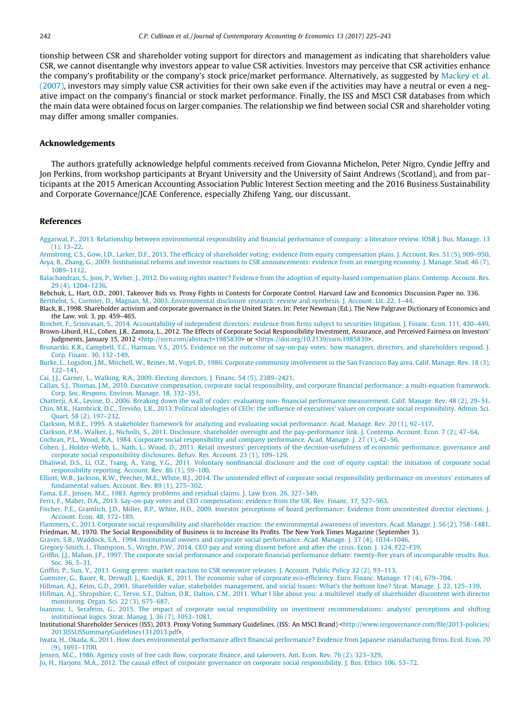<span id="page-18-0"></span>tionship between CSR and shareholder voting support for directors and management as indicating that shareholders value CSR, we cannot disentangle why investors appear to value CSR activities. Investors may perceive that CSR activities enhance the company's profitability or the company's stock price/market performance. Alternatively, as suggested by [Mackey et al.](#page-19-0) [\(2007\)](#page-19-0), investors may simply value CSR activities for their own sake even if the activities may have a neutral or even a negative impact on the company's financial or stock market performance. Finally, the ISS and MSCI CSR databases from which the main data were obtained focus on larger companies. The relationship we find between social CSR and shareholder voting may differ among smaller companies.

# Acknowledgements

The authors gratefully acknowledge helpful comments received from Giovanna Michelon, Peter Nigro, Cyndie Jeffry and Jon Perkins, from workshop participants at Bryant University and the University of Saint Andrews (Scotland), and from participants at the 2015 American Accounting Association Public Interest Section meeting and the 2016 Business Sustainability and Corporate Governance/JCAE Conference, especially Zhifeng Yang, our discussant.

# References

[Aggarwal, P., 2013. Relationship between environmental responsibility and financial performance of company: a literature review. IOSR J. Bus. Manage. 13](http://refhub.elsevier.com/S1815-5669(17)30032-2/h0005) [\(1\), 13–22](http://refhub.elsevier.com/S1815-5669(17)30032-2/h0005).

[Armstrong, C.S., Gow, I.D., Larker, D.F., 2013. The efficacy of shareholder voting: evidence from equity compensation plans. J. Account. Res. 51 \(5\),](http://refhub.elsevier.com/S1815-5669(17)30032-2/h0010) 909–950. [Arya, B., Zhang, G., 2009. Institutional reforms and investor reactions to CSR announcements: evidence from an emerging economy. J. Manage. Stud. 46](http://refhub.elsevier.com/S1815-5669(17)30032-2/h0015) (7), [1089–1112](http://refhub.elsevier.com/S1815-5669(17)30032-2/h0015).

[Balachandran, S., Joos, P., Weber, J., 2012. Do voting rights matter? Evidence from the adoption of equity-based compensation plans. Contemp. Account. Res.](http://refhub.elsevier.com/S1815-5669(17)30032-2/h0020) [29 \(4\), 1204–1236](http://refhub.elsevier.com/S1815-5669(17)30032-2/h0020).

Bebchuk, L., Hart, O.D., 2001. Takeover Bids vs. Proxy Fights in Contests for Corporate Control. Harvard Law and Economics Discussion Paper no. 336.

Berthelot, S., Cormier, D., Magnan, M., 2003. Environmental disclosure research: review and synthesis. J. Account. Lit. 22, 1-44

Black, B., 1998. Shareholder activism and corporate governance in the United States. In: Peter Newman (Ed.). The New Palgrave Dictionary of Economics and the Law, vol. 3, pp. 459–465.

[Brochet, F., Srinivasan, S., 2014. Accountability of independent directors: evidence from firms subject to securities litigation. J. Financ. Econ.](http://refhub.elsevier.com/S1815-5669(17)30032-2/h0040) 111, 430–449. Brown-Liburd, H.L., Cohen, J.R., Zamora, L., 2012. The Effects of Corporate Social Responsibility Investment, Assurance, and Perceived Fairness on Investors' Judgments, January 15, 2012 [<http://ssrn.com/abstract=1985839>](http://ssrn.com/abstract=1985839) or <[https://doi.org/10.2139/ssrn.1985839](http://dx.doi.org/10.2139/ssrn.1985839)>.

[Brunarski, K.R., Campbell, T.C., Harman, Y.S., 2015. Evidence on the outcome of say-on-pay votes: how managers, directors, and shareholders respond. J.](http://refhub.elsevier.com/S1815-5669(17)30032-2/h0050) [Corp. Financ. 30, 132–149](http://refhub.elsevier.com/S1815-5669(17)30032-2/h0050).

[Burke, L., Logsdon, J.M., Mitchell, W., Reiner, M., Vogel, D., 1986. Corporate community involvement in the San Francisco Bay area. Calif. Manage. Rev. 18 \(3\),](http://refhub.elsevier.com/S1815-5669(17)30032-2/h0055) [122–141.](http://refhub.elsevier.com/S1815-5669(17)30032-2/h0055)

[Cai, J.J., Garner, L., Walking, R.A., 2009. Electing directors. J. Financ. 54 \(5\), 2389–2421](http://refhub.elsevier.com/S1815-5669(17)30032-2/h0060).

[Callan, S.J., Thomas, J.M., 2010. Executive compensation, corporate social responsibility, and corporate financial performance: a multi-equation framework.](http://refhub.elsevier.com/S1815-5669(17)30032-2/h0065) [Corp. Soc. Respons. Environ. Manage. 18, 332–351](http://refhub.elsevier.com/S1815-5669(17)30032-2/h0065).

[Chatterji, A.K., Levine, D., 2006. Breaking down the wall of codes: evaluating non- financial performance measurement. Calif. Manage. Rev. 48 \(2\), 29–51.](http://refhub.elsevier.com/S1815-5669(17)30032-2/h0070) [Chin, M.K., Hambrick, D.C., Treviño, L.K., 2013. Political ideologies of CEOs: the influence of executives' values on corporate social responsibility. Admin. Sci.](http://refhub.elsevier.com/S1815-5669(17)30032-2/h0075) [Quart. 58 \(2\), 197–232.](http://refhub.elsevier.com/S1815-5669(17)30032-2/h0075)

[Clarkson, M.B.E., 1995. A stakeholder framework for analyzing and evaluating social performance. Acad. Manage. Rev. 20 \(1\), 92–117](http://refhub.elsevier.com/S1815-5669(17)30032-2/h0080).

[Clarkson, P.M., Walker, J., Nicholls, S., 2011. Disclosure, shareholder oversight and the pay-performance link. J. Contemp. Account. Econ. 7 \(2\), 47–64.](http://refhub.elsevier.com/S1815-5669(17)30032-2/h0085)

[Cochran, P.L., Wood, R.A., 1984. Corporate social responsibility and company performance. Acad. Manage. J. 27 \(1\), 42–56.](http://refhub.elsevier.com/S1815-5669(17)30032-2/h0090)

[Cohen, J., Holder-Webb, L., Nath, L., Wood, D., 2011. Retail investors' perceptions of the decision-usefulness of economic performance, governance and](http://refhub.elsevier.com/S1815-5669(17)30032-2/h0095) [corporate social responsibility disclosures. Behav. Res. Account. 23 \(1\), 109–129](http://refhub.elsevier.com/S1815-5669(17)30032-2/h0095).

[Dhaliwal, D.S., Li, O.Z., Tsang, A., Yang, Y.G., 2011. Voluntary nonfinancial disclosure and the cost of equity capital: the initiation of corporate social](http://refhub.elsevier.com/S1815-5669(17)30032-2/h0100) [responsibility reporting. Account. Rev. 86 \(1\), 59–100](http://refhub.elsevier.com/S1815-5669(17)30032-2/h0100).

[Elliott, W.B., Jackson, K.W., Peecher, M.E., White, B.J., 2014. The unintended effect of corporate social responsibility performance on investors' estimates of](http://refhub.elsevier.com/S1815-5669(17)30032-2/h0105) [fundamental values. Account. Rev. 89 \(1\), 275–302](http://refhub.elsevier.com/S1815-5669(17)30032-2/h0105).

[Fama, E.F., Jensen, M.C., 1983. Agency problems and residual claims. J. Law Econ. 26, 327–349.](http://refhub.elsevier.com/S1815-5669(17)30032-2/h0110)

[Ferri, F., Maber, D.A., 2013. Say-on-pay votes and CEO compensation: evidence from the UK. Rev. Financ. 17, 527–563.](http://refhub.elsevier.com/S1815-5669(17)30032-2/h0115)

[Fischer, P.E., Gramlich, J.D., Miller, B.P., White, H.D., 2009. Investor perceptions of board performance: Evidence from uncontested director elections. J.](http://refhub.elsevier.com/S1815-5669(17)30032-2/h0120) [Account. Econ. 48, 172–189.](http://refhub.elsevier.com/S1815-5669(17)30032-2/h0120)

[Flammers, C., 2013. Corporate social responsibility and shareholder reaction: the environmental awareness of investors. Acad. Manage. J. 56 \(2\), 758–1481.](http://refhub.elsevier.com/S1815-5669(17)30032-2/h0125) Friedman, M., 1970. The Social Responsibility of Business is to Increase Its Profits. The New York Times Magazine (September 3).

[Graves, S.B., Waddock, S.A., 1994. Institutional owners and corporate social performance. Acad. Manage. J. 37 \(4\), 1034–1046.](http://refhub.elsevier.com/S1815-5669(17)30032-2/h0135)

[Gregory-Smith, I., Thompson, S., Wright, P.W., 2014. CEO pay and voting dissent before and after the crisis. Econ. J. 124, F22–F39.](http://refhub.elsevier.com/S1815-5669(17)30032-2/h0140)

[Griffin, J.J., Mahon, J.F., 1997. The corporate social performance and corporate financial performance debate: twenty-five years of incomparable results. Bus.](http://refhub.elsevier.com/S1815-5669(17)30032-2/h0145) [Soc. 36, 5–31.](http://refhub.elsevier.com/S1815-5669(17)30032-2/h0145)

[Griffin, P., Sun, Y., 2013. Going green: market reaction to CSR newswire releases. J. Account. Public Policy 32 \(2\), 93–113](http://refhub.elsevier.com/S1815-5669(17)30032-2/h0150).

[Guenster, G., Bauer, R., Derwall, J., Koedijk, K., 2011. The economic value of corporate eco-efficiency. Euro. Financ. Manage. 17 \(4\), 679–704](http://refhub.elsevier.com/S1815-5669(17)30032-2/h0155).

[Hillman, A.J., Keim, G.D., 2001. Shareholder value, stakeholder management, and social issues: What's the bottom line? Strat. Manage. J. 22, 125–139.](http://refhub.elsevier.com/S1815-5669(17)30032-2/h0160)

[Hillman, A.J., Shropshire, C., Tervo, S.T., Dalton, D.R., Dalton, C.M., 2011. What I like about you: a multilevel study of shareholder discontent with director](http://refhub.elsevier.com/S1815-5669(17)30032-2/h0165) [monitoring. Organ. Sci. 22 \(3\), 675–687.](http://refhub.elsevier.com/S1815-5669(17)30032-2/h0165)

[Ioannou, I., Serafeim, G., 2015. The impact of corporate social responsibility on investment recommendations: analysts' perceptions and shifting](http://refhub.elsevier.com/S1815-5669(17)30032-2/h0170) [institutional logics. Strat. Manag. J. 36 \(7\), 1053–1081.](http://refhub.elsevier.com/S1815-5669(17)30032-2/h0170)

Institutional Shareholder Services (ISS), 2013. Proxy Voting Summary Guidelines. (ISS: An MSCI Brand) [<http://www.issgovernance.com/file/2013-policies/](http://www.issgovernance.com/file/2013-policies/2013ISSUSSummaryGuidelines1312013.pdf) [2013ISSUSSummaryGuidelines1312013.pdf>](http://www.issgovernance.com/file/2013-policies/2013ISSUSSummaryGuidelines1312013.pdf).

[Iwata, H., Okada, K., 2011. How does environmental performance affect financial performance? Evidence from Japanese manufacturing firms. Ecol. Econ. 70](http://refhub.elsevier.com/S1815-5669(17)30032-2/h0180) [\(9\), 1691–1700.](http://refhub.elsevier.com/S1815-5669(17)30032-2/h0180)

[Jensen, M.C., 1986. Agency costs of free cash flow, corporate finance, and takeovers. Am. Econ. Rev. 76 \(2\), 323–329](http://refhub.elsevier.com/S1815-5669(17)30032-2/h0185).

[Jo, H., Harjoto, M.A., 2012. The causal effect of corporate governance on corporate social responsibility. J. Bus. Ethics 106, 53–72.](http://refhub.elsevier.com/S1815-5669(17)30032-2/h0190)